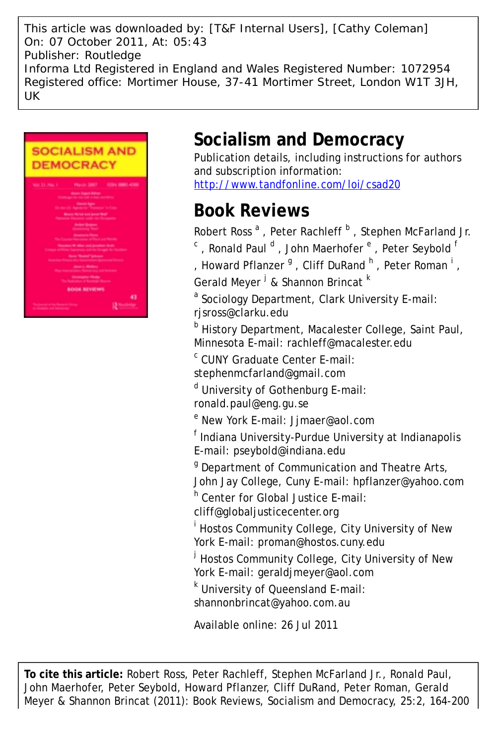This article was downloaded by: [T&F Internal Users], [Cathy Coleman] On: 07 October 2011, At: 05:43 Publisher: Routledge Informa Ltd Registered in England and Wales Registered Number: 1072954 Registered office: Mortimer House, 37-41 Mortimer Street, London W1T 3JH, UK



# **Socialism and Democracy**

Publication details, including instructions for authors and subscription information: <http://www.tandfonline.com/loi/csad20>

## **Book Reviews**

Robert Ross<sup>a</sup>, Peter Rachleff<sup>b</sup>, Stephen McFarland Jr.

- $\mathrm{^c}$  , Ronald Paul  $\mathrm{^d}$  , John Maerhofer  $\mathrm{^e}$  , Peter Seybold  $\mathrm{^f}$
- , Howard Pflanzer<sup>9</sup>, Cliff DuRand<sup>h</sup>, Peter Roman<sup>i</sup>, Gerald Meyer <sup>j</sup> & Shannon Brincat <sup>k</sup>
- <sup>a</sup> Sociology Department, Clark University E-mail: rjsross@clarku.edu

<sup>b</sup> History Department, Macalester College, Saint Paul, Minnesota E-mail: rachleff@macalester.edu

c CUNY Graduate Center E-mail:

stephenmcfarland@gmail.com

<sup>d</sup> University of Gothenburg E-mail: ronald.paul@eng.gu.se

<sup>e</sup> New York E-mail: Jjmaer@aol.com

f Indiana University-Purdue University at Indianapolis E-mail: pseybold@indiana.edu

<sup>g</sup> Department of Communication and Theatre Arts, John Jay College, Cuny E-mail: hpflanzer@yahoo.com

<sup>h</sup> Center for Global Justice E-mail:

cliff@globaljusticecenter.org

<sup>i</sup> Hostos Community College, City University of New York E-mail: proman@hostos.cuny.edu

<sup>j</sup> Hostos Community College, City University of New York E-mail: geraldjmeyer@aol.com

<sup>k</sup> University of Queensland E-mail: shannonbrincat@yahoo.com.au

Available online: 26 Jul 2011

**To cite this article:** Robert Ross, Peter Rachleff, Stephen McFarland Jr., Ronald Paul, John Maerhofer, Peter Seybold, Howard Pflanzer, Cliff DuRand, Peter Roman, Gerald Meyer & Shannon Brincat (2011): Book Reviews, Socialism and Democracy, 25:2, 164-200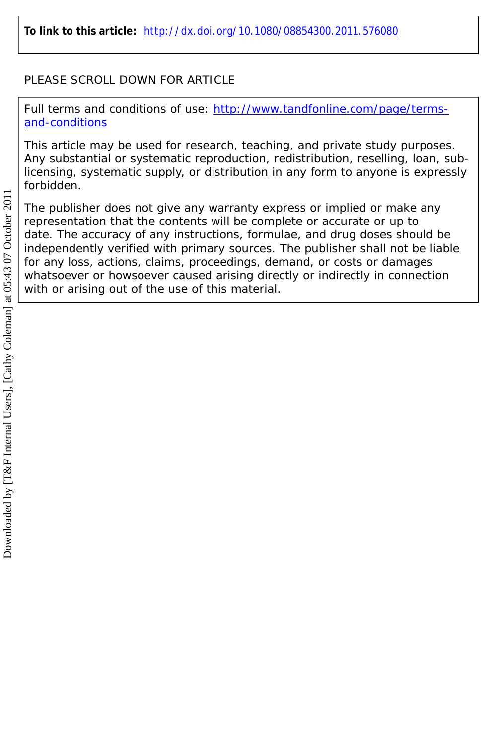### PLEASE SCROLL DOWN FOR ARTICLE

Full terms and conditions of use: [http://www.tandfonline.com/page/terms](http://www.tandfonline.com/page/terms-and-conditions)[and-conditions](http://www.tandfonline.com/page/terms-and-conditions)

This article may be used for research, teaching, and private study purposes. Any substantial or systematic reproduction, redistribution, reselling, loan, sublicensing, systematic supply, or distribution in any form to anyone is expressly forbidden.

The publisher does not give any warranty express or implied or make any representation that the contents will be complete or accurate or up to date. The accuracy of any instructions, formulae, and drug doses should be independently verified with primary sources. The publisher shall not be liable for any loss, actions, claims, proceedings, demand, or costs or damages whatsoever or howsoever caused arising directly or indirectly in connection with or arising out of the use of this material.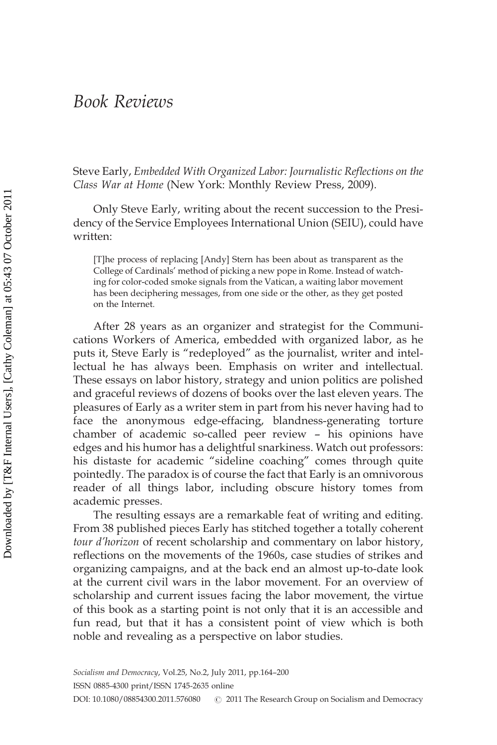### Book Reviews

Steve Early, Embedded With Organized Labor: Journalistic Reflections on the Class War at Home (New York: Monthly Review Press, 2009).

Only Steve Early, writing about the recent succession to the Presidency of the Service Employees International Union (SEIU), could have written:

[T]he process of replacing [Andy] Stern has been about as transparent as the College of Cardinals' method of picking a new pope in Rome. Instead of watching for color-coded smoke signals from the Vatican, a waiting labor movement has been deciphering messages, from one side or the other, as they get posted on the Internet.

After 28 years as an organizer and strategist for the Communications Workers of America, embedded with organized labor, as he puts it, Steve Early is "redeployed" as the journalist, writer and intellectual he has always been. Emphasis on writer and intellectual. These essays on labor history, strategy and union politics are polished and graceful reviews of dozens of books over the last eleven years. The pleasures of Early as a writer stem in part from his never having had to face the anonymous edge-effacing, blandness-generating torture chamber of academic so-called peer review – his opinions have edges and his humor has a delightful snarkiness. Watch out professors: his distaste for academic "sideline coaching" comes through quite pointedly. The paradox is of course the fact that Early is an omnivorous reader of all things labor, including obscure history tomes from academic presses.

The resulting essays are a remarkable feat of writing and editing. From 38 published pieces Early has stitched together a totally coherent tour d'horizon of recent scholarship and commentary on labor history, reflections on the movements of the 1960s, case studies of strikes and organizing campaigns, and at the back end an almost up-to-date look at the current civil wars in the labor movement. For an overview of scholarship and current issues facing the labor movement, the virtue of this book as a starting point is not only that it is an accessible and fun read, but that it has a consistent point of view which is both noble and revealing as a perspective on labor studies.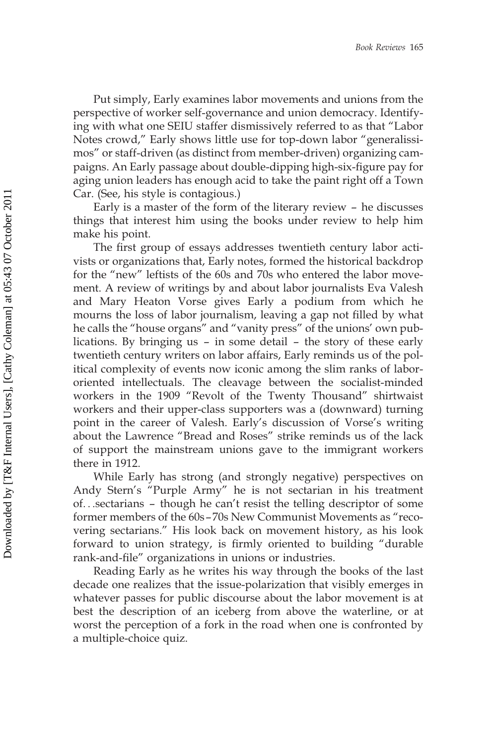Put simply, Early examines labor movements and unions from the perspective of worker self-governance and union democracy. Identifying with what one SEIU staffer dismissively referred to as that "Labor Notes crowd," Early shows little use for top-down labor "generalissimos" or staff-driven (as distinct from member-driven) organizing campaigns. An Early passage about double-dipping high-six-figure pay for aging union leaders has enough acid to take the paint right off a Town Car. (See, his style is contagious.)

Early is a master of the form of the literary review – he discusses things that interest him using the books under review to help him make his point.

The first group of essays addresses twentieth century labor activists or organizations that, Early notes, formed the historical backdrop for the "new" leftists of the 60s and 70s who entered the labor movement. A review of writings by and about labor journalists Eva Valesh and Mary Heaton Vorse gives Early a podium from which he mourns the loss of labor journalism, leaving a gap not filled by what he calls the "house organs" and "vanity press" of the unions' own publications. By bringing us – in some detail – the story of these early twentieth century writers on labor affairs, Early reminds us of the political complexity of events now iconic among the slim ranks of labororiented intellectuals. The cleavage between the socialist-minded workers in the 1909 "Revolt of the Twenty Thousand" shirtwaist workers and their upper-class supporters was a (downward) turning point in the career of Valesh. Early's discussion of Vorse's writing about the Lawrence "Bread and Roses" strike reminds us of the lack of support the mainstream unions gave to the immigrant workers there in 1912.

While Early has strong (and strongly negative) perspectives on Andy Stern's "Purple Army" he is not sectarian in his treatment of...sectarians – though he can't resist the telling descriptor of some former members of the 60s–70s New Communist Movements as "recovering sectarians." His look back on movement history, as his look forward to union strategy, is firmly oriented to building "durable rank-and-file" organizations in unions or industries.

Reading Early as he writes his way through the books of the last decade one realizes that the issue-polarization that visibly emerges in whatever passes for public discourse about the labor movement is at best the description of an iceberg from above the waterline, or at worst the perception of a fork in the road when one is confronted by a multiple-choice quiz.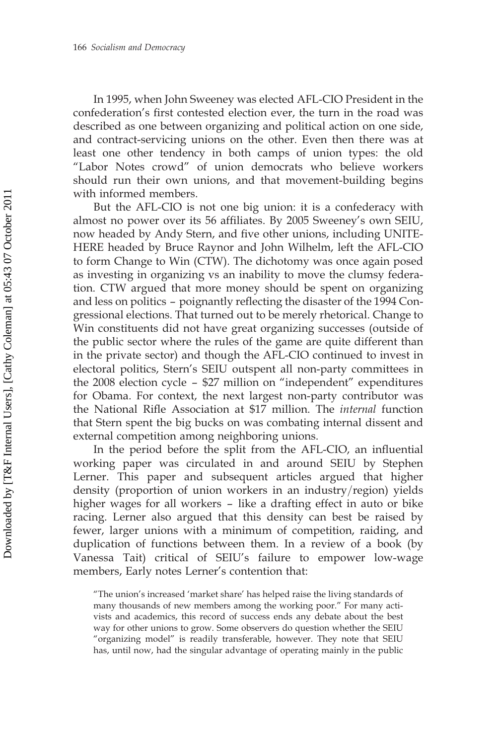In 1995, when John Sweeney was elected AFL-CIO President in the confederation's first contested election ever, the turn in the road was described as one between organizing and political action on one side, and contract-servicing unions on the other. Even then there was at least one other tendency in both camps of union types: the old "Labor Notes crowd" of union democrats who believe workers should run their own unions, and that movement-building begins with informed members.

But the AFL-CIO is not one big union: it is a confederacy with almost no power over its 56 affiliates. By 2005 Sweeney's own SEIU, now headed by Andy Stern, and five other unions, including UNITE-HERE headed by Bruce Raynor and John Wilhelm, left the AFL-CIO to form Change to Win (CTW). The dichotomy was once again posed as investing in organizing vs an inability to move the clumsy federation. CTW argued that more money should be spent on organizing and less on politics – poignantly reflecting the disaster of the 1994 Congressional elections. That turned out to be merely rhetorical. Change to Win constituents did not have great organizing successes (outside of the public sector where the rules of the game are quite different than in the private sector) and though the AFL-CIO continued to invest in electoral politics, Stern's SEIU outspent all non-party committees in the 2008 election cycle – \$27 million on "independent" expenditures for Obama. For context, the next largest non-party contributor was the National Rifle Association at \$17 million. The internal function that Stern spent the big bucks on was combating internal dissent and external competition among neighboring unions.

In the period before the split from the AFL-CIO, an influential working paper was circulated in and around SEIU by Stephen Lerner. This paper and subsequent articles argued that higher density (proportion of union workers in an industry/region) yields higher wages for all workers – like a drafting effect in auto or bike racing. Lerner also argued that this density can best be raised by fewer, larger unions with a minimum of competition, raiding, and duplication of functions between them. In a review of a book (by Vanessa Tait) critical of SEIU's failure to empower low-wage members, Early notes Lerner's contention that:

<sup>&</sup>quot;The union's increased 'market share' has helped raise the living standards of many thousands of new members among the working poor." For many activists and academics, this record of success ends any debate about the best way for other unions to grow. Some observers do question whether the SEIU "organizing model" is readily transferable, however. They note that SEIU has, until now, had the singular advantage of operating mainly in the public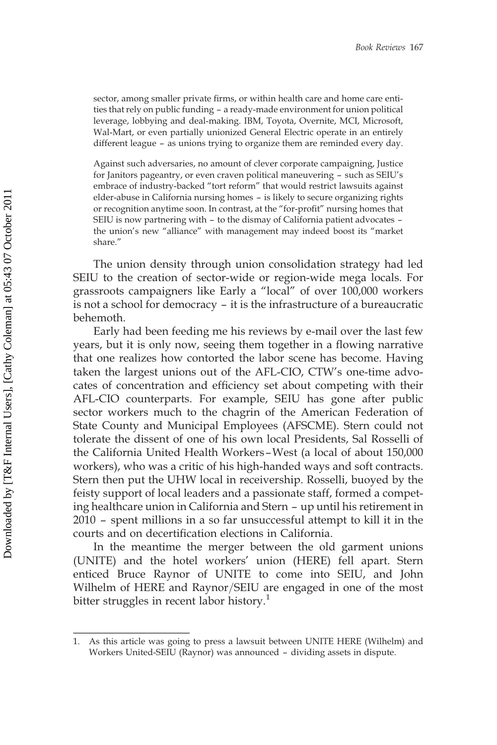sector, among smaller private firms, or within health care and home care entities that rely on public funding – a ready-made environment for union political leverage, lobbying and deal-making. IBM, Toyota, Overnite, MCI, Microsoft, Wal-Mart, or even partially unionized General Electric operate in an entirely different league – as unions trying to organize them are reminded every day.

Against such adversaries, no amount of clever corporate campaigning, Justice for Janitors pageantry, or even craven political maneuvering – such as SEIU's embrace of industry-backed "tort reform" that would restrict lawsuits against elder-abuse in California nursing homes – is likely to secure organizing rights or recognition anytime soon. In contrast, at the "for-profit" nursing homes that SEIU is now partnering with – to the dismay of California patient advocates – the union's new "alliance" with management may indeed boost its "market share."

The union density through union consolidation strategy had led SEIU to the creation of sector-wide or region-wide mega locals. For grassroots campaigners like Early a "local" of over 100,000 workers is not a school for democracy – it is the infrastructure of a bureaucratic behemoth.

Early had been feeding me his reviews by e-mail over the last few years, but it is only now, seeing them together in a flowing narrative that one realizes how contorted the labor scene has become. Having taken the largest unions out of the AFL-CIO, CTW's one-time advocates of concentration and efficiency set about competing with their AFL-CIO counterparts. For example, SEIU has gone after public sector workers much to the chagrin of the American Federation of State County and Municipal Employees (AFSCME). Stern could not tolerate the dissent of one of his own local Presidents, Sal Rosselli of the California United Health Workers–West (a local of about 150,000 workers), who was a critic of his high-handed ways and soft contracts. Stern then put the UHW local in receivership. Rosselli, buoyed by the feisty support of local leaders and a passionate staff, formed a competing healthcare union in California and Stern – up until his retirement in 2010 – spent millions in a so far unsuccessful attempt to kill it in the courts and on decertification elections in California.

In the meantime the merger between the old garment unions (UNITE) and the hotel workers' union (HERE) fell apart. Stern enticed Bruce Raynor of UNITE to come into SEIU, and John Wilhelm of HERE and Raynor/SEIU are engaged in one of the most bitter struggles in recent labor history.<sup>1</sup>

<sup>1.</sup> As this article was going to press a lawsuit between UNITE HERE (Wilhelm) and Workers United-SEIU (Raynor) was announced – dividing assets in dispute.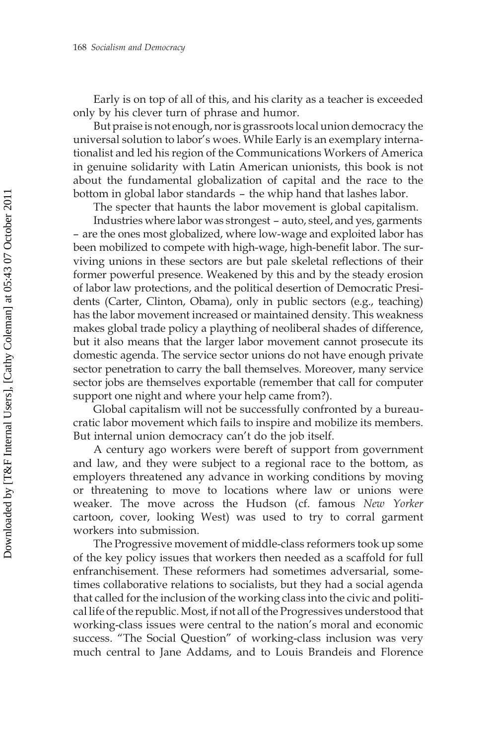Early is on top of all of this, and his clarity as a teacher is exceeded only by his clever turn of phrase and humor.

But praise is not enough, nor is grassroots local union democracy the universal solution to labor's woes. While Early is an exemplary internationalist and led his region of the Communications Workers of America in genuine solidarity with Latin American unionists, this book is not about the fundamental globalization of capital and the race to the bottom in global labor standards – the whip hand that lashes labor.

The specter that haunts the labor movement is global capitalism.

Industries where labor was strongest – auto, steel, and yes, garments – are the ones most globalized, where low-wage and exploited labor has been mobilized to compete with high-wage, high-benefit labor. The surviving unions in these sectors are but pale skeletal reflections of their former powerful presence. Weakened by this and by the steady erosion of labor law protections, and the political desertion of Democratic Presidents (Carter, Clinton, Obama), only in public sectors (e.g., teaching) has the labor movement increased or maintained density. This weakness makes global trade policy a plaything of neoliberal shades of difference, but it also means that the larger labor movement cannot prosecute its domestic agenda. The service sector unions do not have enough private sector penetration to carry the ball themselves. Moreover, many service sector jobs are themselves exportable (remember that call for computer support one night and where your help came from?).

Global capitalism will not be successfully confronted by a bureaucratic labor movement which fails to inspire and mobilize its members. But internal union democracy can't do the job itself.

A century ago workers were bereft of support from government and law, and they were subject to a regional race to the bottom, as employers threatened any advance in working conditions by moving or threatening to move to locations where law or unions were weaker. The move across the Hudson (cf. famous New Yorker cartoon, cover, looking West) was used to try to corral garment workers into submission.

The Progressive movement of middle-class reformers took up some of the key policy issues that workers then needed as a scaffold for full enfranchisement. These reformers had sometimes adversarial, sometimes collaborative relations to socialists, but they had a social agenda that called for the inclusion of the working class into the civic and political life of the republic. Most, if not all of the Progressives understood that working-class issues were central to the nation's moral and economic success. "The Social Question" of working-class inclusion was very much central to Jane Addams, and to Louis Brandeis and Florence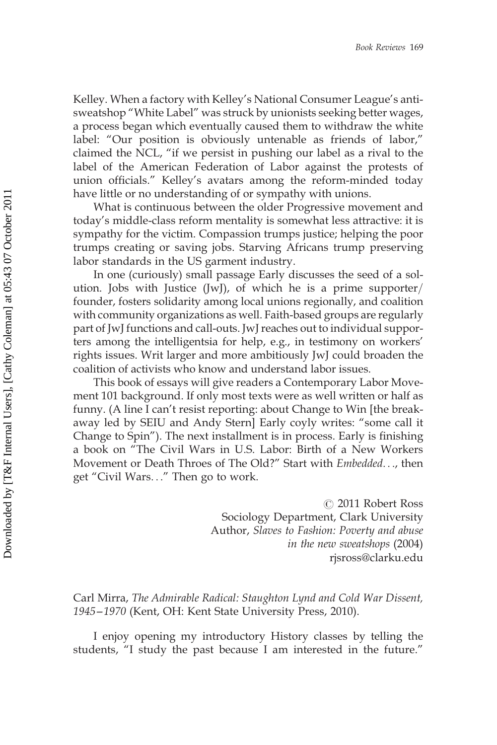Kelley. When a factory with Kelley's National Consumer League's antisweatshop "White Label" was struck by unionists seeking better wages, a process began which eventually caused them to withdraw the white label: "Our position is obviously untenable as friends of labor," claimed the NCL, "if we persist in pushing our label as a rival to the label of the American Federation of Labor against the protests of union officials." Kelley's avatars among the reform-minded today have little or no understanding of or sympathy with unions.

What is continuous between the older Progressive movement and today's middle-class reform mentality is somewhat less attractive: it is sympathy for the victim. Compassion trumps justice; helping the poor trumps creating or saving jobs. Starving Africans trump preserving labor standards in the US garment industry.

In one (curiously) small passage Early discusses the seed of a solution. Jobs with Justice (JwJ), of which he is a prime supporter/ founder, fosters solidarity among local unions regionally, and coalition with community organizations as well. Faith-based groups are regularly part of JwJ functions and call-outs. JwJ reaches out to individual supporters among the intelligentsia for help, e.g., in testimony on workers' rights issues. Writ larger and more ambitiously JwJ could broaden the coalition of activists who know and understand labor issues.

This book of essays will give readers a Contemporary Labor Movement 101 background. If only most texts were as well written or half as funny. (A line I can't resist reporting: about Change to Win [the breakaway led by SEIU and Andy Stern] Early coyly writes: "some call it Change to Spin"). The next installment is in process. Early is finishing a book on "The Civil Wars in U.S. Labor: Birth of a New Workers Movement or Death Throes of The Old?" Start with Embedded..., then get "Civil Wars..." Then go to work.

> © 2011 Robert Ross Sociology Department, Clark University Author, Slaves to Fashion: Poverty and abuse in the new sweatshops (2004) rjsross@clarku.edu

Carl Mirra, The Admirable Radical: Staughton Lynd and Cold War Dissent, 1945 – 1970 (Kent, OH: Kent State University Press, 2010).

I enjoy opening my introductory History classes by telling the students, "I study the past because I am interested in the future."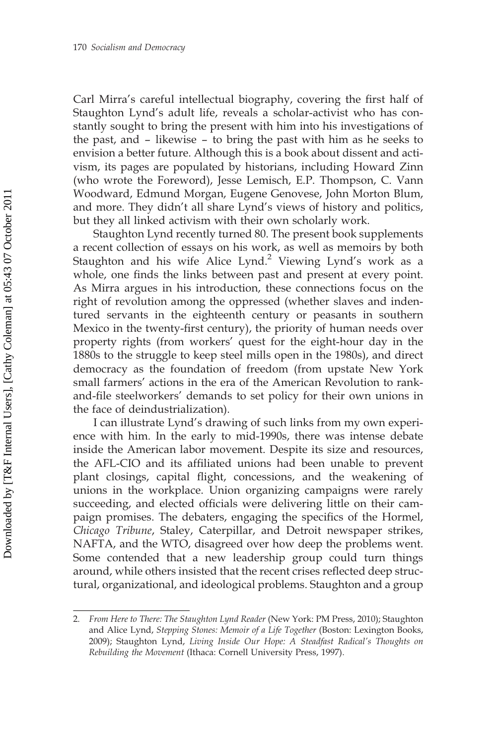Carl Mirra's careful intellectual biography, covering the first half of Staughton Lynd's adult life, reveals a scholar-activist who has constantly sought to bring the present with him into his investigations of the past, and – likewise – to bring the past with him as he seeks to envision a better future. Although this is a book about dissent and activism, its pages are populated by historians, including Howard Zinn (who wrote the Foreword), Jesse Lemisch, E.P. Thompson, C. Vann Woodward, Edmund Morgan, Eugene Genovese, John Morton Blum, and more. They didn't all share Lynd's views of history and politics, but they all linked activism with their own scholarly work.

Staughton Lynd recently turned 80. The present book supplements a recent collection of essays on his work, as well as memoirs by both Staughton and his wife Alice Lynd.<sup>2</sup> Viewing Lynd's work as a whole, one finds the links between past and present at every point. As Mirra argues in his introduction, these connections focus on the right of revolution among the oppressed (whether slaves and indentured servants in the eighteenth century or peasants in southern Mexico in the twenty-first century), the priority of human needs over property rights (from workers' quest for the eight-hour day in the 1880s to the struggle to keep steel mills open in the 1980s), and direct democracy as the foundation of freedom (from upstate New York small farmers' actions in the era of the American Revolution to rankand-file steelworkers' demands to set policy for their own unions in the face of deindustrialization).

I can illustrate Lynd's drawing of such links from my own experience with him. In the early to mid-1990s, there was intense debate inside the American labor movement. Despite its size and resources, the AFL-CIO and its affiliated unions had been unable to prevent plant closings, capital flight, concessions, and the weakening of unions in the workplace. Union organizing campaigns were rarely succeeding, and elected officials were delivering little on their campaign promises. The debaters, engaging the specifics of the Hormel, Chicago Tribune, Staley, Caterpillar, and Detroit newspaper strikes, NAFTA, and the WTO, disagreed over how deep the problems went. Some contended that a new leadership group could turn things around, while others insisted that the recent crises reflected deep structural, organizational, and ideological problems. Staughton and a group

<sup>2.</sup> From Here to There: The Staughton Lynd Reader (New York: PM Press, 2010); Staughton and Alice Lynd, Stepping Stones: Memoir of a Life Together (Boston: Lexington Books, 2009); Staughton Lynd, Living Inside Our Hope: A Steadfast Radical's Thoughts on Rebuilding the Movement (Ithaca: Cornell University Press, 1997).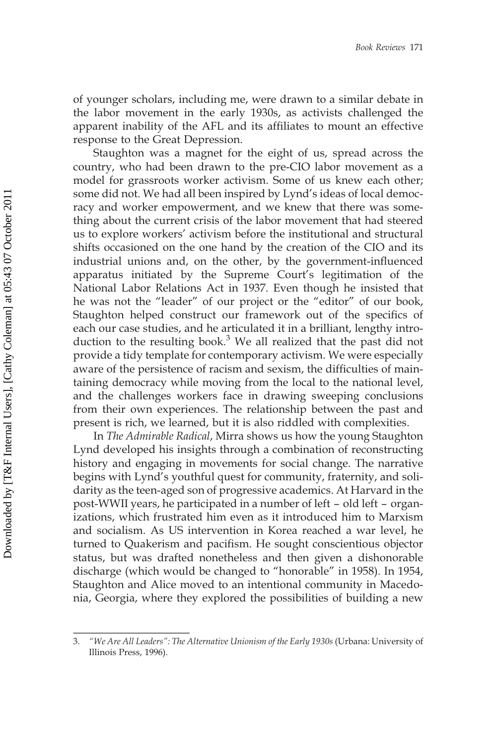of younger scholars, including me, were drawn to a similar debate in the labor movement in the early 1930s, as activists challenged the apparent inability of the AFL and its affiliates to mount an effective response to the Great Depression.

Staughton was a magnet for the eight of us, spread across the country, who had been drawn to the pre-CIO labor movement as a model for grassroots worker activism. Some of us knew each other; some did not. We had all been inspired by Lynd's ideas of local democracy and worker empowerment, and we knew that there was something about the current crisis of the labor movement that had steered us to explore workers' activism before the institutional and structural shifts occasioned on the one hand by the creation of the CIO and its industrial unions and, on the other, by the government-influenced apparatus initiated by the Supreme Court's legitimation of the National Labor Relations Act in 1937. Even though he insisted that he was not the "leader" of our project or the "editor" of our book, Staughton helped construct our framework out of the specifics of each our case studies, and he articulated it in a brilliant, lengthy introduction to the resulting book.<sup>3</sup> We all realized that the past did not provide a tidy template for contemporary activism. We were especially aware of the persistence of racism and sexism, the difficulties of maintaining democracy while moving from the local to the national level, and the challenges workers face in drawing sweeping conclusions from their own experiences. The relationship between the past and present is rich, we learned, but it is also riddled with complexities.

In The Admirable Radical, Mirra shows us how the young Staughton Lynd developed his insights through a combination of reconstructing history and engaging in movements for social change. The narrative begins with Lynd's youthful quest for community, fraternity, and solidarity as the teen-aged son of progressive academics. At Harvard in the post-WWII years, he participated in a number of left – old left – organizations, which frustrated him even as it introduced him to Marxism and socialism. As US intervention in Korea reached a war level, he turned to Quakerism and pacifism. He sought conscientious objector status, but was drafted nonetheless and then given a dishonorable discharge (which would be changed to "honorable" in 1958). In 1954, Staughton and Alice moved to an intentional community in Macedonia, Georgia, where they explored the possibilities of building a new

<sup>3.</sup> "We Are All Leaders": The Alternative Unionism of the Early 1930s (Urbana: University of Illinois Press, 1996).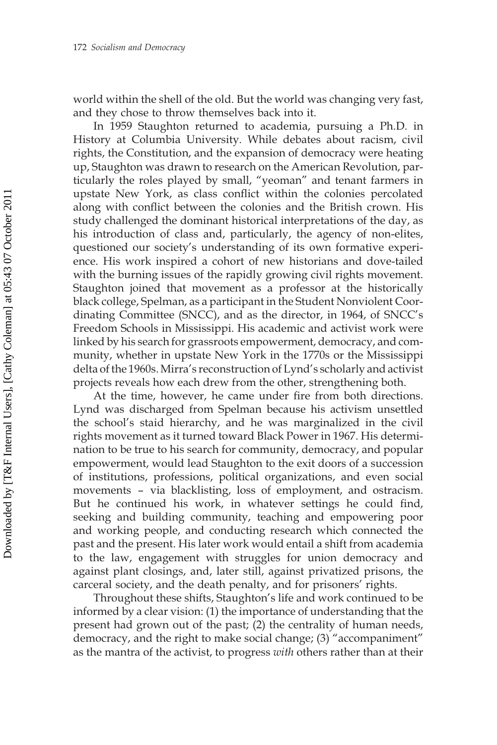world within the shell of the old. But the world was changing very fast, and they chose to throw themselves back into it.

In 1959 Staughton returned to academia, pursuing a Ph.D. in History at Columbia University. While debates about racism, civil rights, the Constitution, and the expansion of democracy were heating up, Staughton was drawn to research on the American Revolution, particularly the roles played by small, "yeoman" and tenant farmers in upstate New York, as class conflict within the colonies percolated along with conflict between the colonies and the British crown. His study challenged the dominant historical interpretations of the day, as his introduction of class and, particularly, the agency of non-elites, questioned our society's understanding of its own formative experience. His work inspired a cohort of new historians and dove-tailed with the burning issues of the rapidly growing civil rights movement. Staughton joined that movement as a professor at the historically black college, Spelman, as a participant in the Student Nonviolent Coordinating Committee (SNCC), and as the director, in 1964, of SNCC's Freedom Schools in Mississippi. His academic and activist work were linked by his search for grassroots empowerment, democracy, and community, whether in upstate New York in the 1770s or the Mississippi delta of the 1960s. Mirra's reconstruction of Lynd's scholarly and activist projects reveals how each drew from the other, strengthening both.

At the time, however, he came under fire from both directions. Lynd was discharged from Spelman because his activism unsettled the school's staid hierarchy, and he was marginalized in the civil rights movement as it turned toward Black Power in 1967. His determination to be true to his search for community, democracy, and popular empowerment, would lead Staughton to the exit doors of a succession of institutions, professions, political organizations, and even social movements – via blacklisting, loss of employment, and ostracism. But he continued his work, in whatever settings he could find, seeking and building community, teaching and empowering poor and working people, and conducting research which connected the past and the present. His later work would entail a shift from academia to the law, engagement with struggles for union democracy and against plant closings, and, later still, against privatized prisons, the carceral society, and the death penalty, and for prisoners' rights.

Throughout these shifts, Staughton's life and work continued to be informed by a clear vision: (1) the importance of understanding that the present had grown out of the past; (2) the centrality of human needs, democracy, and the right to make social change; (3) "accompaniment" as the mantra of the activist, to progress with others rather than at their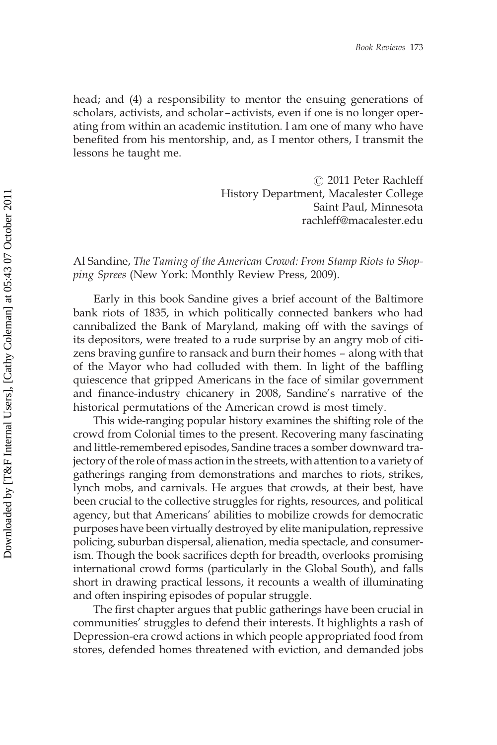head; and (4) a responsibility to mentor the ensuing generations of scholars, activists, and scholar–activists, even if one is no longer operating from within an academic institution. I am one of many who have benefited from his mentorship, and, as I mentor others, I transmit the lessons he taught me.

> $\odot$  2011 Peter Rachleff History Department, Macalester College Saint Paul, Minnesota rachleff@macalester.edu

#### Al Sandine, The Taming of the American Crowd: From Stamp Riots to Shopping Sprees (New York: Monthly Review Press, 2009).

Early in this book Sandine gives a brief account of the Baltimore bank riots of 1835, in which politically connected bankers who had cannibalized the Bank of Maryland, making off with the savings of its depositors, were treated to a rude surprise by an angry mob of citizens braving gunfire to ransack and burn their homes – along with that of the Mayor who had colluded with them. In light of the baffling quiescence that gripped Americans in the face of similar government and finance-industry chicanery in 2008, Sandine's narrative of the historical permutations of the American crowd is most timely.

This wide-ranging popular history examines the shifting role of the crowd from Colonial times to the present. Recovering many fascinating and little-remembered episodes, Sandine traces a somber downward trajectory of the role of mass action in the streets, with attention to a variety of gatherings ranging from demonstrations and marches to riots, strikes, lynch mobs, and carnivals. He argues that crowds, at their best, have been crucial to the collective struggles for rights, resources, and political agency, but that Americans' abilities to mobilize crowds for democratic purposes have been virtually destroyed by elite manipulation, repressive policing, suburban dispersal, alienation, media spectacle, and consumerism. Though the book sacrifices depth for breadth, overlooks promising international crowd forms (particularly in the Global South), and falls short in drawing practical lessons, it recounts a wealth of illuminating and often inspiring episodes of popular struggle.

The first chapter argues that public gatherings have been crucial in communities' struggles to defend their interests. It highlights a rash of Depression-era crowd actions in which people appropriated food from stores, defended homes threatened with eviction, and demanded jobs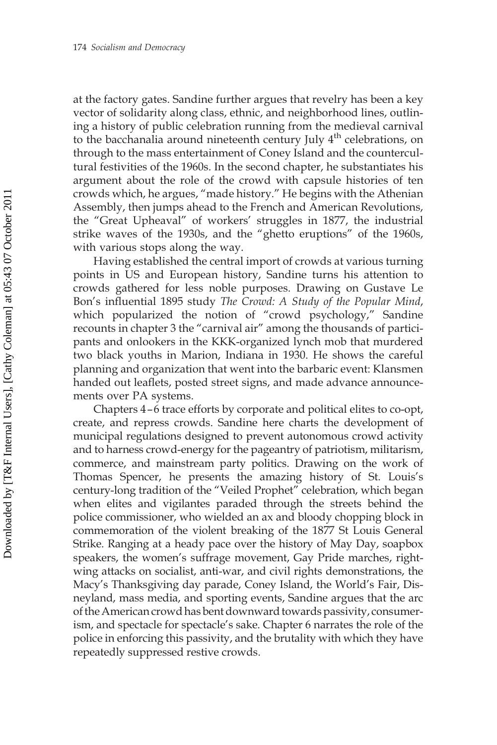at the factory gates. Sandine further argues that revelry has been a key vector of solidarity along class, ethnic, and neighborhood lines, outlining a history of public celebration running from the medieval carnival to the bacchanalia around nineteenth century July 4<sup>th</sup> celebrations, on through to the mass entertainment of Coney Island and the countercultural festivities of the 1960s. In the second chapter, he substantiates his argument about the role of the crowd with capsule histories of ten crowds which, he argues, "made history." He begins with the Athenian Assembly, then jumps ahead to the French and American Revolutions, the "Great Upheaval" of workers' struggles in 1877, the industrial strike waves of the 1930s, and the "ghetto eruptions" of the 1960s, with various stops along the way.

Having established the central import of crowds at various turning points in US and European history, Sandine turns his attention to crowds gathered for less noble purposes. Drawing on Gustave Le Bon's influential 1895 study The Crowd: A Study of the Popular Mind, which popularized the notion of "crowd psychology," Sandine recounts in chapter 3 the "carnival air" among the thousands of participants and onlookers in the KKK-organized lynch mob that murdered two black youths in Marion, Indiana in 1930. He shows the careful planning and organization that went into the barbaric event: Klansmen handed out leaflets, posted street signs, and made advance announcements over PA systems.

Chapters 4–6 trace efforts by corporate and political elites to co-opt, create, and repress crowds. Sandine here charts the development of municipal regulations designed to prevent autonomous crowd activity and to harness crowd-energy for the pageantry of patriotism, militarism, commerce, and mainstream party politics. Drawing on the work of Thomas Spencer, he presents the amazing history of St. Louis's century-long tradition of the "Veiled Prophet" celebration, which began when elites and vigilantes paraded through the streets behind the police commissioner, who wielded an ax and bloody chopping block in commemoration of the violent breaking of the 1877 St Louis General Strike. Ranging at a heady pace over the history of May Day, soapbox speakers, the women's suffrage movement, Gay Pride marches, rightwing attacks on socialist, anti-war, and civil rights demonstrations, the Macy's Thanksgiving day parade, Coney Island, the World's Fair, Disneyland, mass media, and sporting events, Sandine argues that the arc of the American crowd has bent downward towards passivity, consumerism, and spectacle for spectacle's sake. Chapter 6 narrates the role of the police in enforcing this passivity, and the brutality with which they have repeatedly suppressed restive crowds.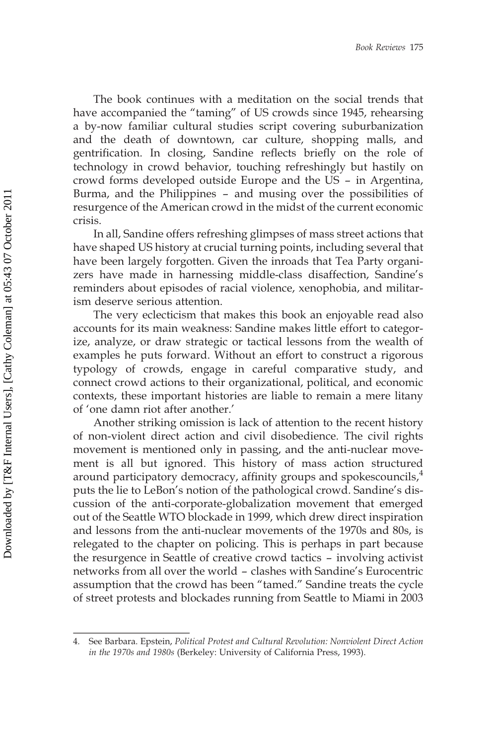The book continues with a meditation on the social trends that have accompanied the "taming" of US crowds since 1945, rehearsing a by-now familiar cultural studies script covering suburbanization and the death of downtown, car culture, shopping malls, and gentrification. In closing, Sandine reflects briefly on the role of technology in crowd behavior, touching refreshingly but hastily on crowd forms developed outside Europe and the US – in Argentina, Burma, and the Philippines – and musing over the possibilities of resurgence of the American crowd in the midst of the current economic crisis.

In all, Sandine offers refreshing glimpses of mass street actions that have shaped US history at crucial turning points, including several that have been largely forgotten. Given the inroads that Tea Party organizers have made in harnessing middle-class disaffection, Sandine's reminders about episodes of racial violence, xenophobia, and militarism deserve serious attention.

The very eclecticism that makes this book an enjoyable read also accounts for its main weakness: Sandine makes little effort to categorize, analyze, or draw strategic or tactical lessons from the wealth of examples he puts forward. Without an effort to construct a rigorous typology of crowds, engage in careful comparative study, and connect crowd actions to their organizational, political, and economic contexts, these important histories are liable to remain a mere litany of 'one damn riot after another.'

Another striking omission is lack of attention to the recent history of non-violent direct action and civil disobedience. The civil rights movement is mentioned only in passing, and the anti-nuclear movement is all but ignored. This history of mass action structured around participatory democracy, affinity groups and spokescouncils, $4\sigma$ puts the lie to LeBon's notion of the pathological crowd. Sandine's discussion of the anti-corporate-globalization movement that emerged out of the Seattle WTO blockade in 1999, which drew direct inspiration and lessons from the anti-nuclear movements of the 1970s and 80s, is relegated to the chapter on policing. This is perhaps in part because the resurgence in Seattle of creative crowd tactics – involving activist networks from all over the world – clashes with Sandine's Eurocentric assumption that the crowd has been "tamed." Sandine treats the cycle of street protests and blockades running from Seattle to Miami in 2003

<sup>4.</sup> See Barbara. Epstein, Political Protest and Cultural Revolution: Nonviolent Direct Action in the 1970s and 1980s (Berkeley: University of California Press, 1993).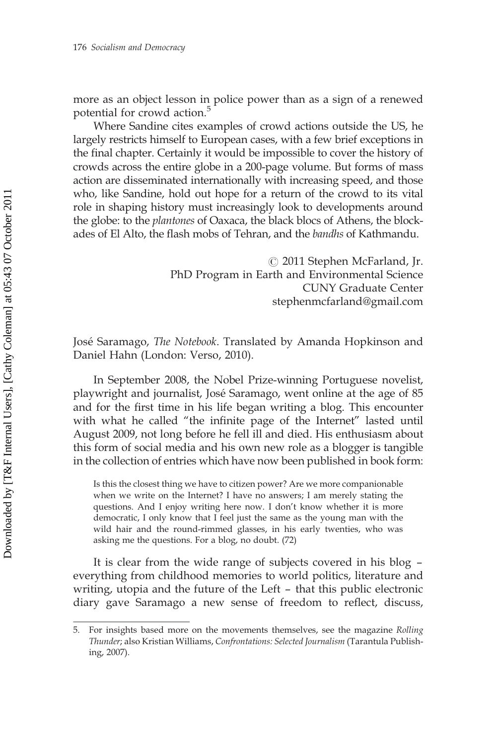more as an object lesson in police power than as a sign of a renewed potential for crowd action.<sup>5</sup>

Where Sandine cites examples of crowd actions outside the US, he largely restricts himself to European cases, with a few brief exceptions in the final chapter. Certainly it would be impossible to cover the history of crowds across the entire globe in a 200-page volume. But forms of mass action are disseminated internationally with increasing speed, and those who, like Sandine, hold out hope for a return of the crowd to its vital role in shaping history must increasingly look to developments around the globe: to the plantones of Oaxaca, the black blocs of Athens, the blockades of El Alto, the flash mobs of Tehran, and the bandhs of Kathmandu.

> $\odot$  2011 Stephen McFarland, Jr. PhD Program in Earth and Environmental Science CUNY Graduate Center stephenmcfarland@gmail.com

José Saramago, The Notebook. Translated by Amanda Hopkinson and Daniel Hahn (London: Verso, 2010).

In September 2008, the Nobel Prize-winning Portuguese novelist, playwright and journalist, José Saramago, went online at the age of 85 and for the first time in his life began writing a blog. This encounter with what he called "the infinite page of the Internet" lasted until August 2009, not long before he fell ill and died. His enthusiasm about this form of social media and his own new role as a blogger is tangible in the collection of entries which have now been published in book form:

Is this the closest thing we have to citizen power? Are we more companionable when we write on the Internet? I have no answers; I am merely stating the questions. And I enjoy writing here now. I don't know whether it is more democratic, I only know that I feel just the same as the young man with the wild hair and the round-rimmed glasses, in his early twenties, who was asking me the questions. For a blog, no doubt. (72)

It is clear from the wide range of subjects covered in his blog – everything from childhood memories to world politics, literature and writing, utopia and the future of the Left – that this public electronic diary gave Saramago a new sense of freedom to reflect, discuss,

<sup>5.</sup> For insights based more on the movements themselves, see the magazine Rolling Thunder; also Kristian Williams, Confrontations: Selected Journalism (Tarantula Publishing, 2007).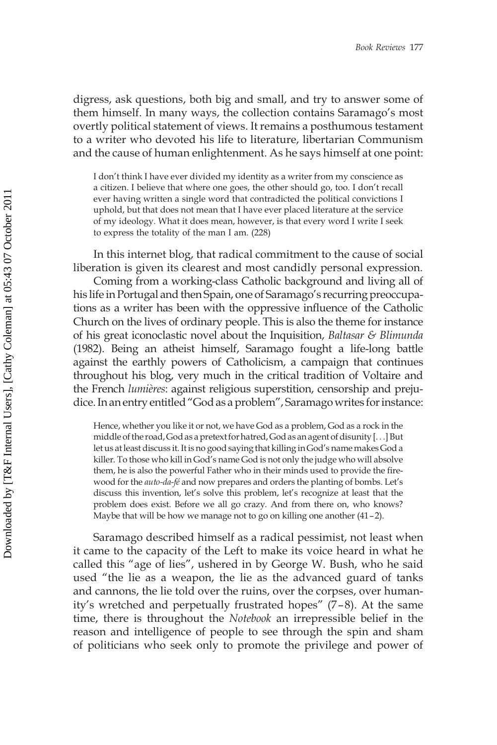digress, ask questions, both big and small, and try to answer some of them himself. In many ways, the collection contains Saramago's most overtly political statement of views. It remains a posthumous testament to a writer who devoted his life to literature, libertarian Communism and the cause of human enlightenment. As he says himself at one point:

I don't think I have ever divided my identity as a writer from my conscience as a citizen. I believe that where one goes, the other should go, too. I don't recall ever having written a single word that contradicted the political convictions I uphold, but that does not mean that I have ever placed literature at the service of my ideology. What it does mean, however, is that every word I write I seek to express the totality of the man I am. (228)

In this internet blog, that radical commitment to the cause of social liberation is given its clearest and most candidly personal expression.

Coming from a working-class Catholic background and living all of his life in Portugal and then Spain, one of Saramago's recurring preoccupations as a writer has been with the oppressive influence of the Catholic Church on the lives of ordinary people. This is also the theme for instance of his great iconoclastic novel about the Inquisition, Baltasar & Blimunda (1982). Being an atheist himself, Saramago fought a life-long battle against the earthly powers of Catholicism, a campaign that continues throughout his blog, very much in the critical tradition of Voltaire and the French lumières: against religious superstition, censorship and prejudice. In an entry entitled "God as a problem", Saramago writes for instance:

Hence, whether you like it or not, we have God as a problem, God as a rock in the middle of the road, God as a pretext for hatred, God as an agent of disunity [...] But let us at least discuss it. It is no good saying that killing in God's name makes God a killer. To those who kill in God's name God is not only the judge who will absolve them, he is also the powerful Father who in their minds used to provide the firewood for the *auto-da-fé* and now prepares and orders the planting of bombs. Let's discuss this invention, let's solve this problem, let's recognize at least that the problem does exist. Before we all go crazy. And from there on, who knows? Maybe that will be how we manage not to go on killing one another (41–2).

Saramago described himself as a radical pessimist, not least when it came to the capacity of the Left to make its voice heard in what he called this "age of lies", ushered in by George W. Bush, who he said used "the lie as a weapon, the lie as the advanced guard of tanks and cannons, the lie told over the ruins, over the corpses, over humanity's wretched and perpetually frustrated hopes" (7–8). At the same time, there is throughout the Notebook an irrepressible belief in the reason and intelligence of people to see through the spin and sham of politicians who seek only to promote the privilege and power of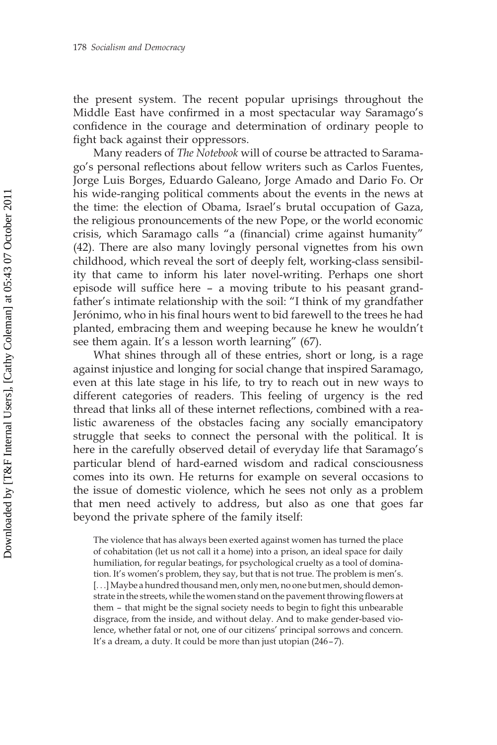the present system. The recent popular uprisings throughout the Middle East have confirmed in a most spectacular way Saramago's confidence in the courage and determination of ordinary people to fight back against their oppressors.

Many readers of The Notebook will of course be attracted to Saramago's personal reflections about fellow writers such as Carlos Fuentes, Jorge Luis Borges, Eduardo Galeano, Jorge Amado and Dario Fo. Or his wide-ranging political comments about the events in the news at the time: the election of Obama, Israel's brutal occupation of Gaza, the religious pronouncements of the new Pope, or the world economic crisis, which Saramago calls "a (financial) crime against humanity" (42). There are also many lovingly personal vignettes from his own childhood, which reveal the sort of deeply felt, working-class sensibility that came to inform his later novel-writing. Perhaps one short episode will suffice here – a moving tribute to his peasant grandfather's intimate relationship with the soil: "I think of my grandfather Jerónimo, who in his final hours went to bid farewell to the trees he had planted, embracing them and weeping because he knew he wouldn't see them again. It's a lesson worth learning" (67).

What shines through all of these entries, short or long, is a rage against injustice and longing for social change that inspired Saramago, even at this late stage in his life, to try to reach out in new ways to different categories of readers. This feeling of urgency is the red thread that links all of these internet reflections, combined with a realistic awareness of the obstacles facing any socially emancipatory struggle that seeks to connect the personal with the political. It is here in the carefully observed detail of everyday life that Saramago's particular blend of hard-earned wisdom and radical consciousness comes into its own. He returns for example on several occasions to the issue of domestic violence, which he sees not only as a problem that men need actively to address, but also as one that goes far beyond the private sphere of the family itself:

The violence that has always been exerted against women has turned the place of cohabitation (let us not call it a home) into a prison, an ideal space for daily humiliation, for regular beatings, for psychological cruelty as a tool of domination. It's women's problem, they say, but that is not true. The problem is men's. [...] Maybe a hundred thousand men, only men, no one but men, should demonstrate in the streets, while the women stand on the pavement throwing flowers at them – that might be the signal society needs to begin to fight this unbearable disgrace, from the inside, and without delay. And to make gender-based violence, whether fatal or not, one of our citizens' principal sorrows and concern. It's a dream, a duty. It could be more than just utopian (246–7).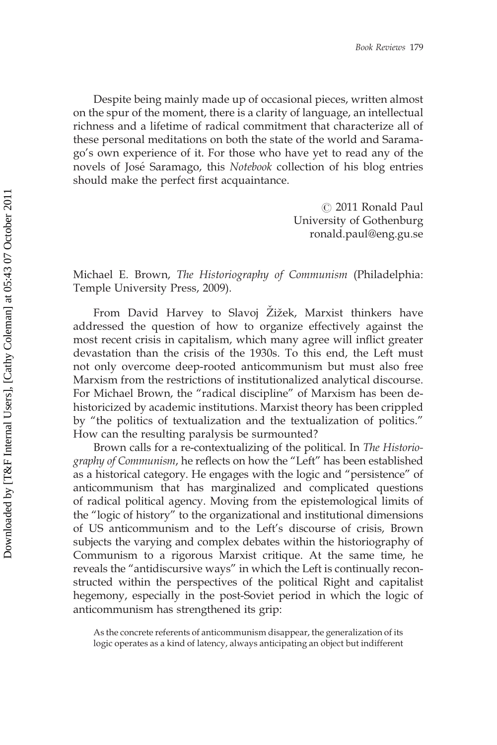Despite being mainly made up of occasional pieces, written almost on the spur of the moment, there is a clarity of language, an intellectual richness and a lifetime of radical commitment that characterize all of these personal meditations on both the state of the world and Saramago's own experience of it. For those who have yet to read any of the novels of José Saramago, this Notebook collection of his blog entries should make the perfect first acquaintance.

> $\odot$  2011 Ronald Paul University of Gothenburg ronald.paul@eng.gu.se

Michael E. Brown, The Historiography of Communism (Philadelphia: Temple University Press, 2009).

From David Harvey to Slavoj Žižek, Marxist thinkers have addressed the question of how to organize effectively against the most recent crisis in capitalism, which many agree will inflict greater devastation than the crisis of the 1930s. To this end, the Left must not only overcome deep-rooted anticommunism but must also free Marxism from the restrictions of institutionalized analytical discourse. For Michael Brown, the "radical discipline" of Marxism has been dehistoricized by academic institutions. Marxist theory has been crippled by "the politics of textualization and the textualization of politics." How can the resulting paralysis be surmounted?

Brown calls for a re-contextualizing of the political. In The Historiography of Communism, he reflects on how the "Left" has been established as a historical category. He engages with the logic and "persistence" of anticommunism that has marginalized and complicated questions of radical political agency. Moving from the epistemological limits of the "logic of history" to the organizational and institutional dimensions of US anticommunism and to the Left's discourse of crisis, Brown subjects the varying and complex debates within the historiography of Communism to a rigorous Marxist critique. At the same time, he reveals the "antidiscursive ways" in which the Left is continually reconstructed within the perspectives of the political Right and capitalist hegemony, especially in the post-Soviet period in which the logic of anticommunism has strengthened its grip:

As the concrete referents of anticommunism disappear, the generalization of its logic operates as a kind of latency, always anticipating an object but indifferent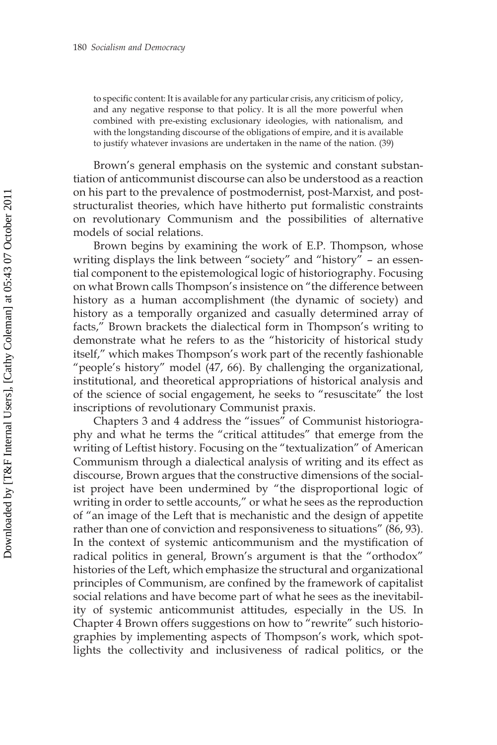to specific content: It is available for any particular crisis, any criticism of policy, and any negative response to that policy. It is all the more powerful when combined with pre-existing exclusionary ideologies, with nationalism, and with the longstanding discourse of the obligations of empire, and it is available to justify whatever invasions are undertaken in the name of the nation. (39)

Brown's general emphasis on the systemic and constant substantiation of anticommunist discourse can also be understood as a reaction on his part to the prevalence of postmodernist, post-Marxist, and poststructuralist theories, which have hitherto put formalistic constraints on revolutionary Communism and the possibilities of alternative models of social relations.

Brown begins by examining the work of E.P. Thompson, whose writing displays the link between "society" and "history" – an essential component to the epistemological logic of historiography. Focusing on what Brown calls Thompson's insistence on "the difference between history as a human accomplishment (the dynamic of society) and history as a temporally organized and casually determined array of facts," Brown brackets the dialectical form in Thompson's writing to demonstrate what he refers to as the "historicity of historical study itself," which makes Thompson's work part of the recently fashionable "people's history" model (47, 66). By challenging the organizational, institutional, and theoretical appropriations of historical analysis and of the science of social engagement, he seeks to "resuscitate" the lost inscriptions of revolutionary Communist praxis.

Chapters 3 and 4 address the "issues" of Communist historiography and what he terms the "critical attitudes" that emerge from the writing of Leftist history. Focusing on the "textualization" of American Communism through a dialectical analysis of writing and its effect as discourse, Brown argues that the constructive dimensions of the socialist project have been undermined by "the disproportional logic of writing in order to settle accounts," or what he sees as the reproduction of "an image of the Left that is mechanistic and the design of appetite rather than one of conviction and responsiveness to situations" (86, 93). In the context of systemic anticommunism and the mystification of radical politics in general, Brown's argument is that the "orthodox" histories of the Left, which emphasize the structural and organizational principles of Communism, are confined by the framework of capitalist social relations and have become part of what he sees as the inevitability of systemic anticommunist attitudes, especially in the US. In Chapter 4 Brown offers suggestions on how to "rewrite" such historiographies by implementing aspects of Thompson's work, which spotlights the collectivity and inclusiveness of radical politics, or the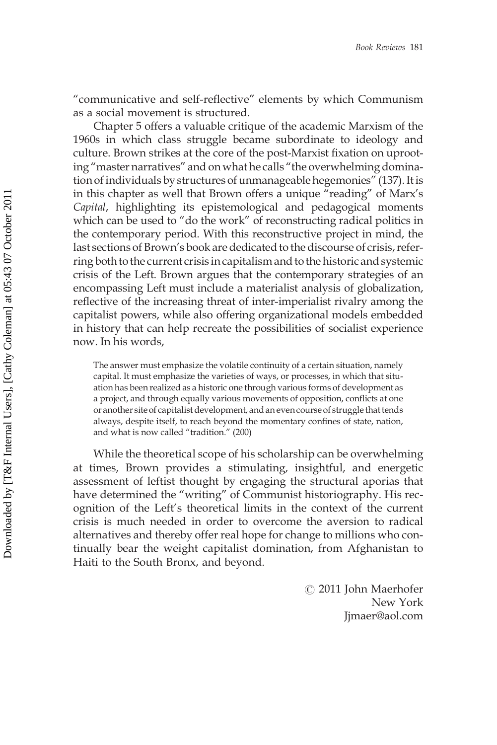"communicative and self-reflective" elements by which Communism as a social movement is structured.

Chapter 5 offers a valuable critique of the academic Marxism of the 1960s in which class struggle became subordinate to ideology and culture. Brown strikes at the core of the post-Marxist fixation on uprooting "master narratives" and on what he calls "the overwhelming domination of individuals by structures of unmanageable hegemonies" (137). It is in this chapter as well that Brown offers a unique "reading" of Marx's Capital, highlighting its epistemological and pedagogical moments which can be used to "do the work" of reconstructing radical politics in the contemporary period. With this reconstructive project in mind, the last sections of Brown's book are dedicated to the discourse of crisis, referring both to the current crisis in capitalism and to the historic and systemic crisis of the Left. Brown argues that the contemporary strategies of an encompassing Left must include a materialist analysis of globalization, reflective of the increasing threat of inter-imperialist rivalry among the capitalist powers, while also offering organizational models embedded in history that can help recreate the possibilities of socialist experience now. In his words,

The answer must emphasize the volatile continuity of a certain situation, namely capital. It must emphasize the varieties of ways, or processes, in which that situation has been realized as a historic one through various forms of development as a project, and through equally various movements of opposition, conflicts at one or another site of capitalist development, and an even course of struggle that tends always, despite itself, to reach beyond the momentary confines of state, nation, and what is now called "tradition." (200)

While the theoretical scope of his scholarship can be overwhelming at times, Brown provides a stimulating, insightful, and energetic assessment of leftist thought by engaging the structural aporias that have determined the "writing" of Communist historiography. His recognition of the Left's theoretical limits in the context of the current crisis is much needed in order to overcome the aversion to radical alternatives and thereby offer real hope for change to millions who continually bear the weight capitalist domination, from Afghanistan to Haiti to the South Bronx, and beyond.

> $\odot$  2011 John Maerhofer New York Jjmaer@aol.com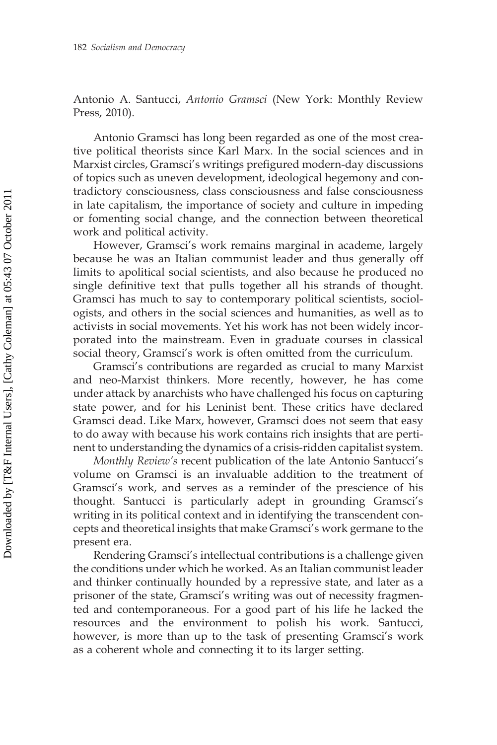Antonio A. Santucci, Antonio Gramsci (New York: Monthly Review Press, 2010).

Antonio Gramsci has long been regarded as one of the most creative political theorists since Karl Marx. In the social sciences and in Marxist circles, Gramsci's writings prefigured modern-day discussions of topics such as uneven development, ideological hegemony and contradictory consciousness, class consciousness and false consciousness in late capitalism, the importance of society and culture in impeding or fomenting social change, and the connection between theoretical work and political activity.

However, Gramsci's work remains marginal in academe, largely because he was an Italian communist leader and thus generally off limits to apolitical social scientists, and also because he produced no single definitive text that pulls together all his strands of thought. Gramsci has much to say to contemporary political scientists, sociologists, and others in the social sciences and humanities, as well as to activists in social movements. Yet his work has not been widely incorporated into the mainstream. Even in graduate courses in classical social theory, Gramsci's work is often omitted from the curriculum.

Gramsci's contributions are regarded as crucial to many Marxist and neo-Marxist thinkers. More recently, however, he has come under attack by anarchists who have challenged his focus on capturing state power, and for his Leninist bent. These critics have declared Gramsci dead. Like Marx, however, Gramsci does not seem that easy to do away with because his work contains rich insights that are pertinent to understanding the dynamics of a crisis-ridden capitalist system.

Monthly Review's recent publication of the late Antonio Santucci's volume on Gramsci is an invaluable addition to the treatment of Gramsci's work, and serves as a reminder of the prescience of his thought. Santucci is particularly adept in grounding Gramsci's writing in its political context and in identifying the transcendent concepts and theoretical insights that make Gramsci's work germane to the present era.

Rendering Gramsci's intellectual contributions is a challenge given the conditions under which he worked. As an Italian communist leader and thinker continually hounded by a repressive state, and later as a prisoner of the state, Gramsci's writing was out of necessity fragmented and contemporaneous. For a good part of his life he lacked the resources and the environment to polish his work. Santucci, however, is more than up to the task of presenting Gramsci's work as a coherent whole and connecting it to its larger setting.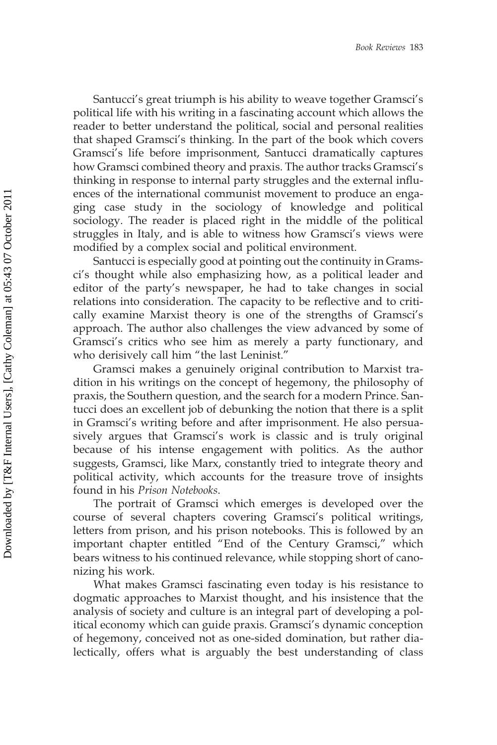Santucci's great triumph is his ability to weave together Gramsci's political life with his writing in a fascinating account which allows the reader to better understand the political, social and personal realities that shaped Gramsci's thinking. In the part of the book which covers Gramsci's life before imprisonment, Santucci dramatically captures how Gramsci combined theory and praxis. The author tracks Gramsci's thinking in response to internal party struggles and the external influences of the international communist movement to produce an engaging case study in the sociology of knowledge and political sociology. The reader is placed right in the middle of the political struggles in Italy, and is able to witness how Gramsci's views were modified by a complex social and political environment.

Santucci is especially good at pointing out the continuity in Gramsci's thought while also emphasizing how, as a political leader and editor of the party's newspaper, he had to take changes in social relations into consideration. The capacity to be reflective and to critically examine Marxist theory is one of the strengths of Gramsci's approach. The author also challenges the view advanced by some of Gramsci's critics who see him as merely a party functionary, and who derisively call him "the last Leninist."

Gramsci makes a genuinely original contribution to Marxist tradition in his writings on the concept of hegemony, the philosophy of praxis, the Southern question, and the search for a modern Prince. Santucci does an excellent job of debunking the notion that there is a split in Gramsci's writing before and after imprisonment. He also persuasively argues that Gramsci's work is classic and is truly original because of his intense engagement with politics. As the author suggests, Gramsci, like Marx, constantly tried to integrate theory and political activity, which accounts for the treasure trove of insights found in his Prison Notebooks.

The portrait of Gramsci which emerges is developed over the course of several chapters covering Gramsci's political writings, letters from prison, and his prison notebooks. This is followed by an important chapter entitled "End of the Century Gramsci," which bears witness to his continued relevance, while stopping short of canonizing his work.

What makes Gramsci fascinating even today is his resistance to dogmatic approaches to Marxist thought, and his insistence that the analysis of society and culture is an integral part of developing a political economy which can guide praxis. Gramsci's dynamic conception of hegemony, conceived not as one-sided domination, but rather dialectically, offers what is arguably the best understanding of class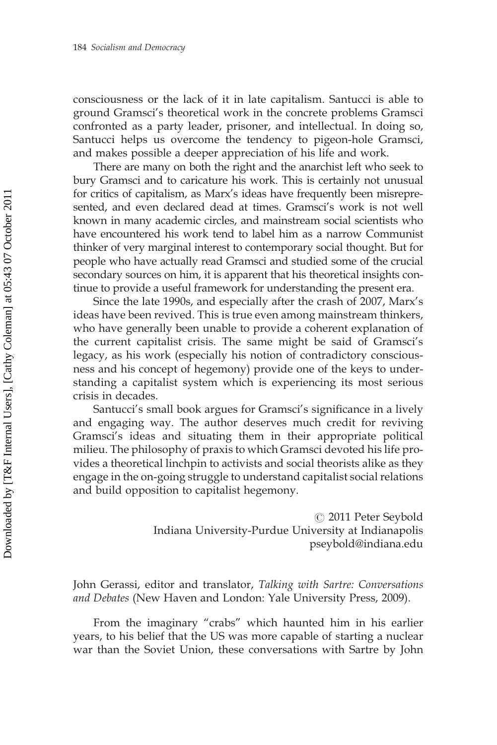consciousness or the lack of it in late capitalism. Santucci is able to ground Gramsci's theoretical work in the concrete problems Gramsci confronted as a party leader, prisoner, and intellectual. In doing so, Santucci helps us overcome the tendency to pigeon-hole Gramsci, and makes possible a deeper appreciation of his life and work.

There are many on both the right and the anarchist left who seek to bury Gramsci and to caricature his work. This is certainly not unusual for critics of capitalism, as Marx's ideas have frequently been misrepresented, and even declared dead at times. Gramsci's work is not well known in many academic circles, and mainstream social scientists who have encountered his work tend to label him as a narrow Communist thinker of very marginal interest to contemporary social thought. But for people who have actually read Gramsci and studied some of the crucial secondary sources on him, it is apparent that his theoretical insights continue to provide a useful framework for understanding the present era.

Since the late 1990s, and especially after the crash of 2007, Marx's ideas have been revived. This is true even among mainstream thinkers, who have generally been unable to provide a coherent explanation of the current capitalist crisis. The same might be said of Gramsci's legacy, as his work (especially his notion of contradictory consciousness and his concept of hegemony) provide one of the keys to understanding a capitalist system which is experiencing its most serious crisis in decades.

Santucci's small book argues for Gramsci's significance in a lively and engaging way. The author deserves much credit for reviving Gramsci's ideas and situating them in their appropriate political milieu. The philosophy of praxis to which Gramsci devoted his life provides a theoretical linchpin to activists and social theorists alike as they engage in the on-going struggle to understand capitalist social relations and build opposition to capitalist hegemony.

> $\odot$  2011 Peter Seybold Indiana University-Purdue University at Indianapolis pseybold@indiana.edu

John Gerassi, editor and translator, Talking with Sartre: Conversations and Debates (New Haven and London: Yale University Press, 2009).

From the imaginary "crabs" which haunted him in his earlier years, to his belief that the US was more capable of starting a nuclear war than the Soviet Union, these conversations with Sartre by John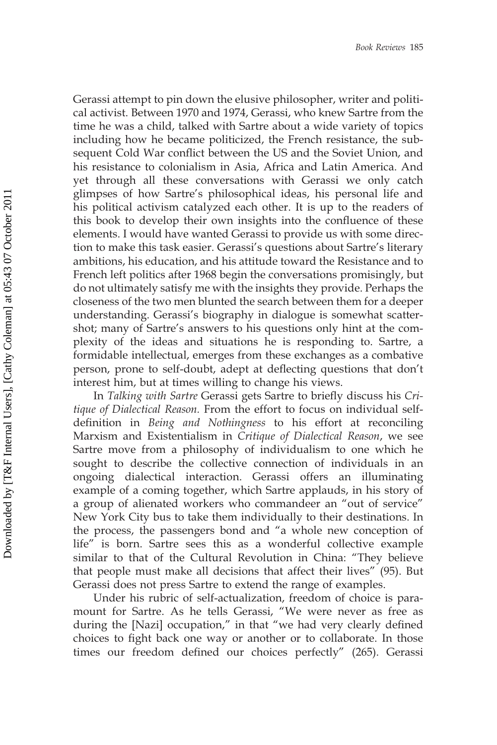Gerassi attempt to pin down the elusive philosopher, writer and political activist. Between 1970 and 1974, Gerassi, who knew Sartre from the time he was a child, talked with Sartre about a wide variety of topics including how he became politicized, the French resistance, the subsequent Cold War conflict between the US and the Soviet Union, and his resistance to colonialism in Asia, Africa and Latin America. And yet through all these conversations with Gerassi we only catch glimpses of how Sartre's philosophical ideas, his personal life and his political activism catalyzed each other. It is up to the readers of this book to develop their own insights into the confluence of these elements. I would have wanted Gerassi to provide us with some direction to make this task easier. Gerassi's questions about Sartre's literary ambitions, his education, and his attitude toward the Resistance and to French left politics after 1968 begin the conversations promisingly, but do not ultimately satisfy me with the insights they provide. Perhaps the closeness of the two men blunted the search between them for a deeper understanding. Gerassi's biography in dialogue is somewhat scattershot; many of Sartre's answers to his questions only hint at the complexity of the ideas and situations he is responding to. Sartre, a formidable intellectual, emerges from these exchanges as a combative person, prone to self-doubt, adept at deflecting questions that don't interest him, but at times willing to change his views.

In Talking with Sartre Gerassi gets Sartre to briefly discuss his Critique of Dialectical Reason. From the effort to focus on individual selfdefinition in Being and Nothingness to his effort at reconciling Marxism and Existentialism in Critique of Dialectical Reason, we see Sartre move from a philosophy of individualism to one which he sought to describe the collective connection of individuals in an ongoing dialectical interaction. Gerassi offers an illuminating example of a coming together, which Sartre applauds, in his story of a group of alienated workers who commandeer an "out of service" New York City bus to take them individually to their destinations. In the process, the passengers bond and "a whole new conception of life" is born. Sartre sees this as a wonderful collective example similar to that of the Cultural Revolution in China: "They believe that people must make all decisions that affect their lives" (95). But Gerassi does not press Sartre to extend the range of examples.

Under his rubric of self-actualization, freedom of choice is paramount for Sartre. As he tells Gerassi, "We were never as free as during the [Nazi] occupation," in that "we had very clearly defined choices to fight back one way or another or to collaborate. In those times our freedom defined our choices perfectly" (265). Gerassi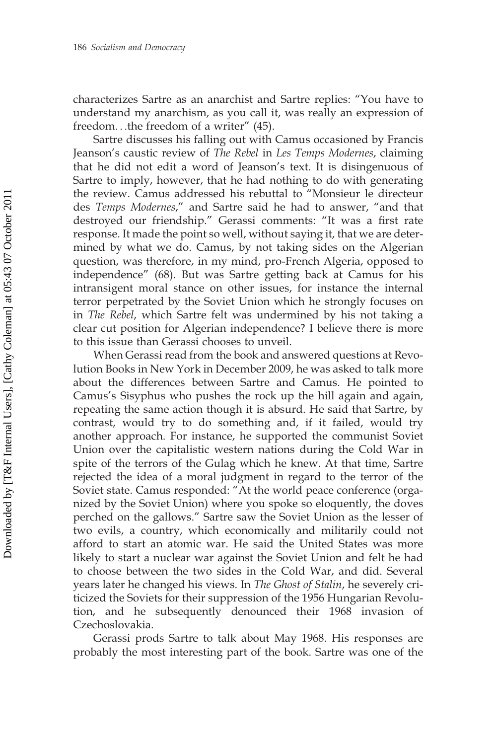characterizes Sartre as an anarchist and Sartre replies: "You have to understand my anarchism, as you call it, was really an expression of freedom...the freedom of a writer" (45).

Sartre discusses his falling out with Camus occasioned by Francis Jeanson's caustic review of The Rebel in Les Temps Modernes, claiming that he did not edit a word of Jeanson's text. It is disingenuous of Sartre to imply, however, that he had nothing to do with generating the review. Camus addressed his rebuttal to "Monsieur le directeur des Temps Modernes," and Sartre said he had to answer, "and that destroyed our friendship." Gerassi comments: "It was a first rate response. It made the point so well, without saying it, that we are determined by what we do. Camus, by not taking sides on the Algerian question, was therefore, in my mind, pro-French Algeria, opposed to independence" (68). But was Sartre getting back at Camus for his intransigent moral stance on other issues, for instance the internal terror perpetrated by the Soviet Union which he strongly focuses on in The Rebel, which Sartre felt was undermined by his not taking a clear cut position for Algerian independence? I believe there is more to this issue than Gerassi chooses to unveil.

When Gerassi read from the book and answered questions at Revolution Books in New York in December 2009, he was asked to talk more about the differences between Sartre and Camus. He pointed to Camus's Sisyphus who pushes the rock up the hill again and again, repeating the same action though it is absurd. He said that Sartre, by contrast, would try to do something and, if it failed, would try another approach. For instance, he supported the communist Soviet Union over the capitalistic western nations during the Cold War in spite of the terrors of the Gulag which he knew. At that time, Sartre rejected the idea of a moral judgment in regard to the terror of the Soviet state. Camus responded: "At the world peace conference (organized by the Soviet Union) where you spoke so eloquently, the doves perched on the gallows." Sartre saw the Soviet Union as the lesser of two evils, a country, which economically and militarily could not afford to start an atomic war. He said the United States was more likely to start a nuclear war against the Soviet Union and felt he had to choose between the two sides in the Cold War, and did. Several years later he changed his views. In The Ghost of Stalin, he severely criticized the Soviets for their suppression of the 1956 Hungarian Revolution, and he subsequently denounced their 1968 invasion of Czechoslovakia.

Gerassi prods Sartre to talk about May 1968. His responses are probably the most interesting part of the book. Sartre was one of the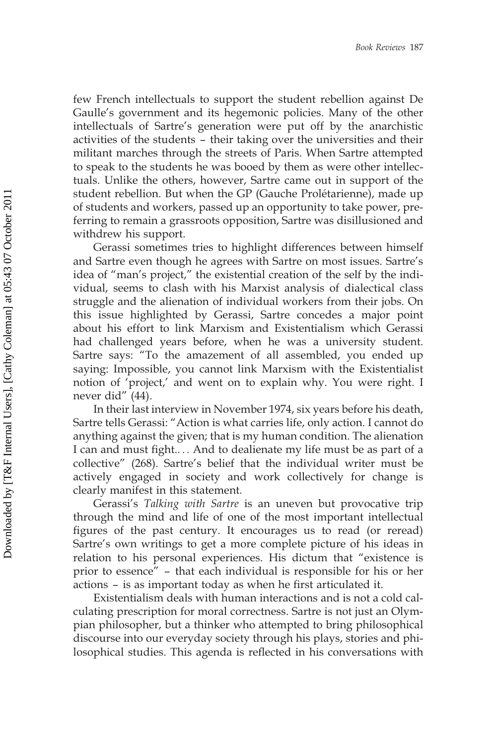few French intellectuals to support the student rebellion against De Gaulle's government and its hegemonic policies. Many of the other intellectuals of Sartre's generation were put off by the anarchistic activities of the students – their taking over the universities and their militant marches through the streets of Paris. When Sartre attempted to speak to the students he was booed by them as were other intellectuals. Unlike the others, however, Sartre came out in support of the student rebellion. But when the GP (Gauche Prolétarienne), made up of students and workers, passed up an opportunity to take power, preferring to remain a grassroots opposition, Sartre was disillusioned and withdrew his support.

Gerassi sometimes tries to highlight differences between himself and Sartre even though he agrees with Sartre on most issues. Sartre's idea of "man's project," the existential creation of the self by the individual, seems to clash with his Marxist analysis of dialectical class struggle and the alienation of individual workers from their jobs. On this issue highlighted by Gerassi, Sartre concedes a major point about his effort to link Marxism and Existentialism which Gerassi had challenged years before, when he was a university student. Sartre says: "To the amazement of all assembled, you ended up saying: Impossible, you cannot link Marxism with the Existentialist notion of 'project,' and went on to explain why. You were right. I never did" (44).

In their last interview in November 1974, six years before his death, Sartre tells Gerassi: "Action is what carries life, only action. I cannot do anything against the given; that is my human condition. The alienation I can and must fight.... And to dealienate my life must be as part of a collective" (268). Sartre's belief that the individual writer must be actively engaged in society and work collectively for change is clearly manifest in this statement.

Gerassi's Talking with Sartre is an uneven but provocative trip through the mind and life of one of the most important intellectual figures of the past century. It encourages us to read (or reread) Sartre's own writings to get a more complete picture of his ideas in relation to his personal experiences. His dictum that "existence is prior to essence" – that each individual is responsible for his or her actions – is as important today as when he first articulated it.

Existentialism deals with human interactions and is not a cold calculating prescription for moral correctness. Sartre is not just an Olympian philosopher, but a thinker who attempted to bring philosophical discourse into our everyday society through his plays, stories and philosophical studies. This agenda is reflected in his conversations with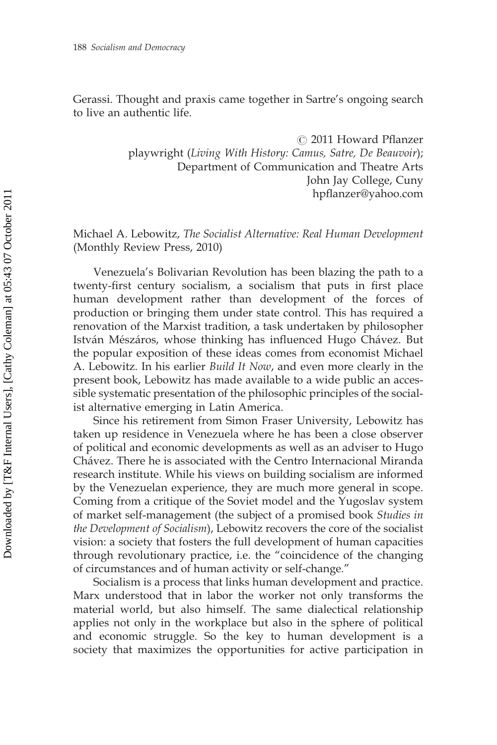Gerassi. Thought and praxis came together in Sartre's ongoing search to live an authentic life.

> $\odot$  2011 Howard Pflanzer playwright (Living With History: Camus, Satre, De Beauvoir); Department of Communication and Theatre Arts John Jay College, Cuny hpflanzer@yahoo.com

Michael A. Lebowitz, The Socialist Alternative: Real Human Development (Monthly Review Press, 2010)

Venezuela's Bolivarian Revolution has been blazing the path to a twenty-first century socialism, a socialism that puts in first place human development rather than development of the forces of production or bringing them under state control. This has required a renovation of the Marxist tradition, a task undertaken by philosopher István Mészáros, whose thinking has influenced Hugo Chávez. But the popular exposition of these ideas comes from economist Michael A. Lebowitz. In his earlier *Build It Now*, and even more clearly in the present book, Lebowitz has made available to a wide public an accessible systematic presentation of the philosophic principles of the socialist alternative emerging in Latin America.

Since his retirement from Simon Fraser University, Lebowitz has taken up residence in Venezuela where he has been a close observer of political and economic developments as well as an adviser to Hugo Chávez. There he is associated with the Centro Internacional Miranda research institute. While his views on building socialism are informed by the Venezuelan experience, they are much more general in scope. Coming from a critique of the Soviet model and the Yugoslav system of market self-management (the subject of a promised book Studies in the Development of Socialism), Lebowitz recovers the core of the socialist vision: a society that fosters the full development of human capacities through revolutionary practice, i.e. the "coincidence of the changing of circumstances and of human activity or self-change."

Socialism is a process that links human development and practice. Marx understood that in labor the worker not only transforms the material world, but also himself. The same dialectical relationship applies not only in the workplace but also in the sphere of political and economic struggle. So the key to human development is a society that maximizes the opportunities for active participation in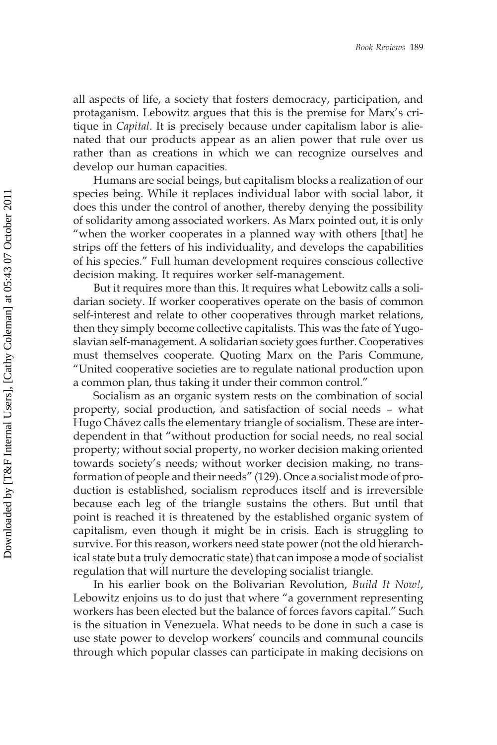all aspects of life, a society that fosters democracy, participation, and protaganism. Lebowitz argues that this is the premise for Marx's critique in Capital. It is precisely because under capitalism labor is alienated that our products appear as an alien power that rule over us rather than as creations in which we can recognize ourselves and develop our human capacities.

Humans are social beings, but capitalism blocks a realization of our species being. While it replaces individual labor with social labor, it does this under the control of another, thereby denying the possibility of solidarity among associated workers. As Marx pointed out, it is only "when the worker cooperates in a planned way with others [that] he strips off the fetters of his individuality, and develops the capabilities of his species." Full human development requires conscious collective decision making. It requires worker self-management.

But it requires more than this. It requires what Lebowitz calls a solidarian society. If worker cooperatives operate on the basis of common self-interest and relate to other cooperatives through market relations, then they simply become collective capitalists. This was the fate of Yugoslavian self-management. A solidarian society goes further. Cooperatives must themselves cooperate. Quoting Marx on the Paris Commune, "United cooperative societies are to regulate national production upon a common plan, thus taking it under their common control."

Socialism as an organic system rests on the combination of social property, social production, and satisfaction of social needs – what Hugo Chávez calls the elementary triangle of socialism. These are interdependent in that "without production for social needs, no real social property; without social property, no worker decision making oriented towards society's needs; without worker decision making, no transformation of people and their needs" (129). Once a socialist mode of production is established, socialism reproduces itself and is irreversible because each leg of the triangle sustains the others. But until that point is reached it is threatened by the established organic system of capitalism, even though it might be in crisis. Each is struggling to survive. For this reason, workers need state power (not the old hierarchical state but a truly democratic state) that can impose a mode of socialist regulation that will nurture the developing socialist triangle.

In his earlier book on the Bolivarian Revolution, Build It Now!, Lebowitz enjoins us to do just that where "a government representing workers has been elected but the balance of forces favors capital." Such is the situation in Venezuela. What needs to be done in such a case is use state power to develop workers' councils and communal councils through which popular classes can participate in making decisions on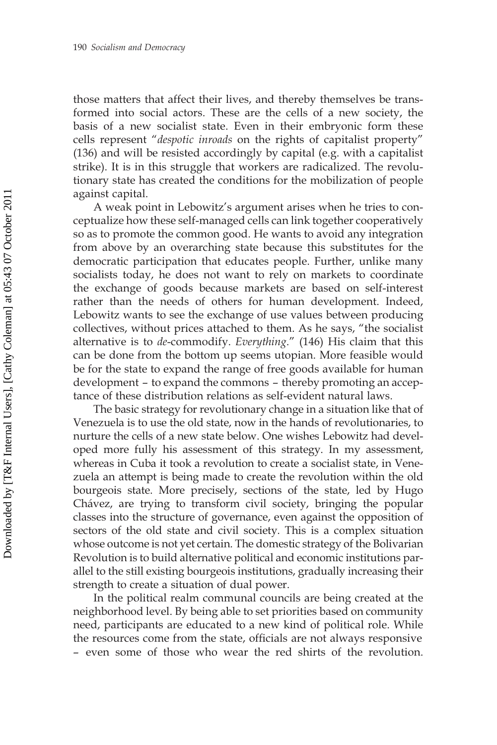those matters that affect their lives, and thereby themselves be transformed into social actors. These are the cells of a new society, the basis of a new socialist state. Even in their embryonic form these cells represent "despotic inroads on the rights of capitalist property" (136) and will be resisted accordingly by capital (e.g. with a capitalist strike). It is in this struggle that workers are radicalized. The revolutionary state has created the conditions for the mobilization of people against capital.

A weak point in Lebowitz's argument arises when he tries to conceptualize how these self-managed cells can link together cooperatively so as to promote the common good. He wants to avoid any integration from above by an overarching state because this substitutes for the democratic participation that educates people. Further, unlike many socialists today, he does not want to rely on markets to coordinate the exchange of goods because markets are based on self-interest rather than the needs of others for human development. Indeed, Lebowitz wants to see the exchange of use values between producing collectives, without prices attached to them. As he says, "the socialist alternative is to de-commodify. Everything." (146) His claim that this can be done from the bottom up seems utopian. More feasible would be for the state to expand the range of free goods available for human development – to expand the commons – thereby promoting an acceptance of these distribution relations as self-evident natural laws.

The basic strategy for revolutionary change in a situation like that of Venezuela is to use the old state, now in the hands of revolutionaries, to nurture the cells of a new state below. One wishes Lebowitz had developed more fully his assessment of this strategy. In my assessment, whereas in Cuba it took a revolution to create a socialist state, in Venezuela an attempt is being made to create the revolution within the old bourgeois state. More precisely, sections of the state, led by Hugo Chávez, are trying to transform civil society, bringing the popular classes into the structure of governance, even against the opposition of sectors of the old state and civil society. This is a complex situation whose outcome is not yet certain. The domestic strategy of the Bolivarian Revolution is to build alternative political and economic institutions parallel to the still existing bourgeois institutions, gradually increasing their strength to create a situation of dual power.

In the political realm communal councils are being created at the neighborhood level. By being able to set priorities based on community need, participants are educated to a new kind of political role. While the resources come from the state, officials are not always responsive – even some of those who wear the red shirts of the revolution.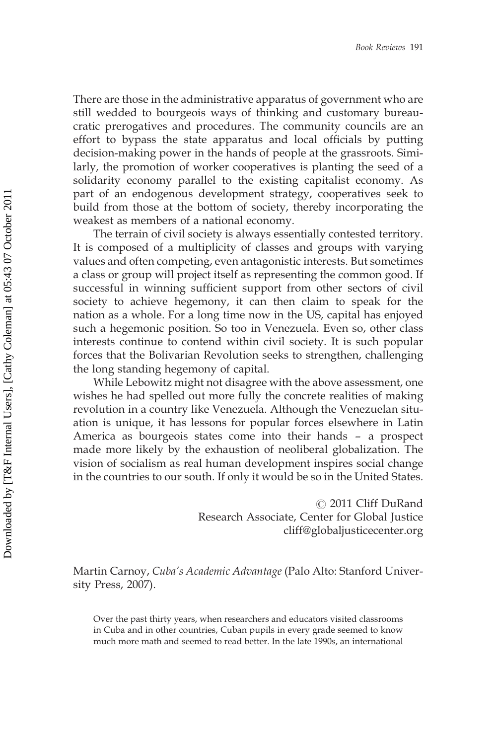There are those in the administrative apparatus of government who are still wedded to bourgeois ways of thinking and customary bureaucratic prerogatives and procedures. The community councils are an effort to bypass the state apparatus and local officials by putting decision-making power in the hands of people at the grassroots. Similarly, the promotion of worker cooperatives is planting the seed of a solidarity economy parallel to the existing capitalist economy. As part of an endogenous development strategy, cooperatives seek to build from those at the bottom of society, thereby incorporating the weakest as members of a national economy.

The terrain of civil society is always essentially contested territory. It is composed of a multiplicity of classes and groups with varying values and often competing, even antagonistic interests. But sometimes a class or group will project itself as representing the common good. If successful in winning sufficient support from other sectors of civil society to achieve hegemony, it can then claim to speak for the nation as a whole. For a long time now in the US, capital has enjoyed such a hegemonic position. So too in Venezuela. Even so, other class interests continue to contend within civil society. It is such popular forces that the Bolivarian Revolution seeks to strengthen, challenging the long standing hegemony of capital.

While Lebowitz might not disagree with the above assessment, one wishes he had spelled out more fully the concrete realities of making revolution in a country like Venezuela. Although the Venezuelan situation is unique, it has lessons for popular forces elsewhere in Latin America as bourgeois states come into their hands – a prospect made more likely by the exhaustion of neoliberal globalization. The vision of socialism as real human development inspires social change in the countries to our south. If only it would be so in the United States.

> © 2011 Cliff DuRand Research Associate, Center for Global Justice cliff@globaljusticecenter.org

Martin Carnoy, Cuba's Academic Advantage (Palo Alto: Stanford University Press, 2007).

Over the past thirty years, when researchers and educators visited classrooms in Cuba and in other countries, Cuban pupils in every grade seemed to know much more math and seemed to read better. In the late 1990s, an international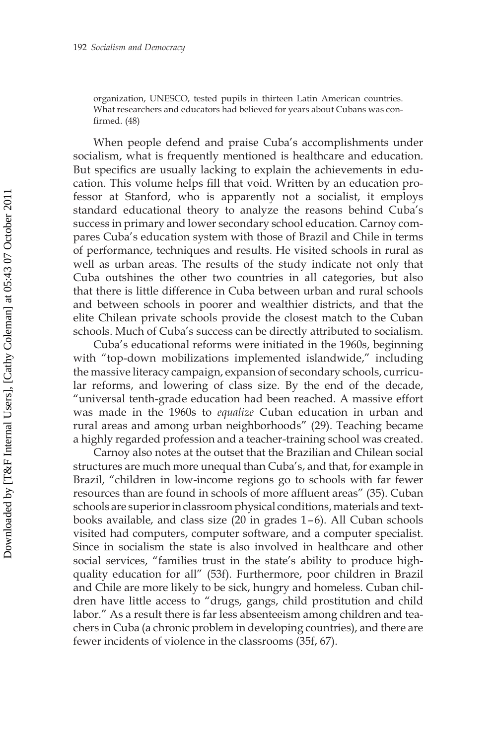organization, UNESCO, tested pupils in thirteen Latin American countries. What researchers and educators had believed for years about Cubans was confirmed. (48)

When people defend and praise Cuba's accomplishments under socialism, what is frequently mentioned is healthcare and education. But specifics are usually lacking to explain the achievements in education. This volume helps fill that void. Written by an education professor at Stanford, who is apparently not a socialist, it employs standard educational theory to analyze the reasons behind Cuba's success in primary and lower secondary school education. Carnoy compares Cuba's education system with those of Brazil and Chile in terms of performance, techniques and results. He visited schools in rural as well as urban areas. The results of the study indicate not only that Cuba outshines the other two countries in all categories, but also that there is little difference in Cuba between urban and rural schools and between schools in poorer and wealthier districts, and that the elite Chilean private schools provide the closest match to the Cuban schools. Much of Cuba's success can be directly attributed to socialism.

Cuba's educational reforms were initiated in the 1960s, beginning with "top-down mobilizations implemented islandwide," including the massive literacy campaign, expansion of secondary schools, curricular reforms, and lowering of class size. By the end of the decade, "universal tenth-grade education had been reached. A massive effort was made in the 1960s to equalize Cuban education in urban and rural areas and among urban neighborhoods" (29). Teaching became a highly regarded profession and a teacher-training school was created.

Carnoy also notes at the outset that the Brazilian and Chilean social structures are much more unequal than Cuba's, and that, for example in Brazil, "children in low-income regions go to schools with far fewer resources than are found in schools of more affluent areas" (35). Cuban schools are superior in classroom physical conditions, materials and textbooks available, and class size (20 in grades 1–6). All Cuban schools visited had computers, computer software, and a computer specialist. Since in socialism the state is also involved in healthcare and other social services, "families trust in the state's ability to produce highquality education for all" (53f). Furthermore, poor children in Brazil and Chile are more likely to be sick, hungry and homeless. Cuban children have little access to "drugs, gangs, child prostitution and child labor." As a result there is far less absenteeism among children and teachers in Cuba (a chronic problem in developing countries), and there are fewer incidents of violence in the classrooms (35f, 67).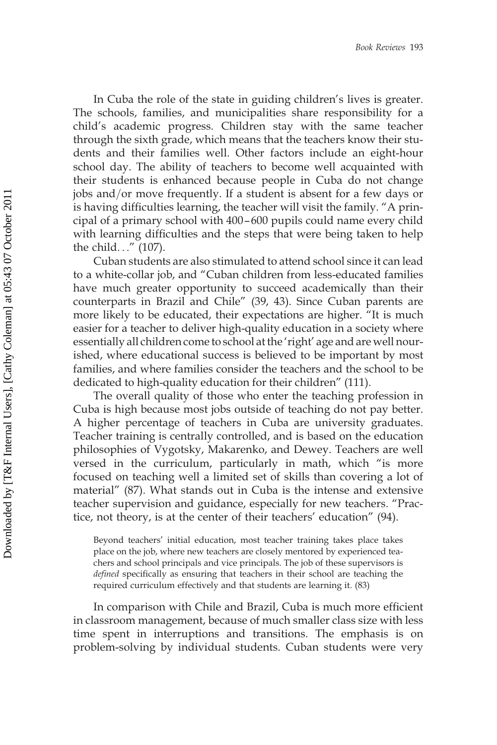In Cuba the role of the state in guiding children's lives is greater. The schools, families, and municipalities share responsibility for a child's academic progress. Children stay with the same teacher through the sixth grade, which means that the teachers know their students and their families well. Other factors include an eight-hour school day. The ability of teachers to become well acquainted with their students is enhanced because people in Cuba do not change jobs and/or move frequently. If a student is absent for a few days or is having difficulties learning, the teacher will visit the family. "A principal of a primary school with 400–600 pupils could name every child with learning difficulties and the steps that were being taken to help the child..." (107).

Cuban students are also stimulated to attend school since it can lead to a white-collar job, and "Cuban children from less-educated families have much greater opportunity to succeed academically than their counterparts in Brazil and Chile" (39, 43). Since Cuban parents are more likely to be educated, their expectations are higher. "It is much easier for a teacher to deliver high-quality education in a society where essentially all children come to school at the 'right' age and are well nourished, where educational success is believed to be important by most families, and where families consider the teachers and the school to be dedicated to high-quality education for their children" (111).

The overall quality of those who enter the teaching profession in Cuba is high because most jobs outside of teaching do not pay better. A higher percentage of teachers in Cuba are university graduates. Teacher training is centrally controlled, and is based on the education philosophies of Vygotsky, Makarenko, and Dewey. Teachers are well versed in the curriculum, particularly in math, which "is more focused on teaching well a limited set of skills than covering a lot of material" (87). What stands out in Cuba is the intense and extensive teacher supervision and guidance, especially for new teachers. "Practice, not theory, is at the center of their teachers' education" (94).

Beyond teachers' initial education, most teacher training takes place takes place on the job, where new teachers are closely mentored by experienced teachers and school principals and vice principals. The job of these supervisors is defined specifically as ensuring that teachers in their school are teaching the required curriculum effectively and that students are learning it. (83)

In comparison with Chile and Brazil, Cuba is much more efficient in classroom management, because of much smaller class size with less time spent in interruptions and transitions. The emphasis is on problem-solving by individual students. Cuban students were very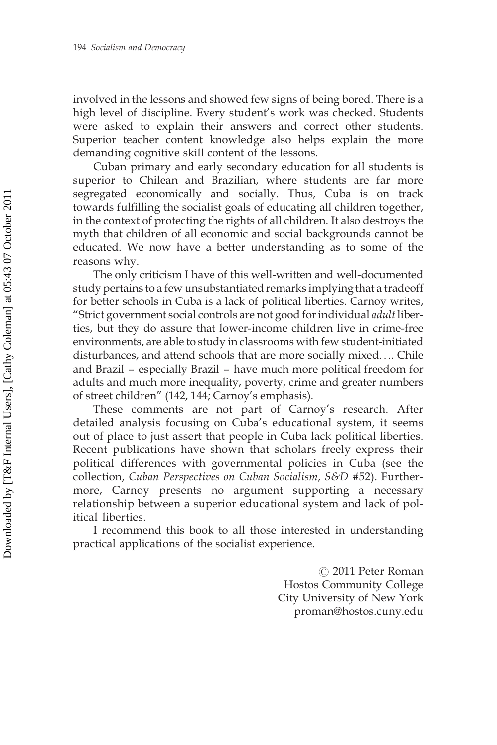involved in the lessons and showed few signs of being bored. There is a high level of discipline. Every student's work was checked. Students were asked to explain their answers and correct other students. Superior teacher content knowledge also helps explain the more demanding cognitive skill content of the lessons.

Cuban primary and early secondary education for all students is superior to Chilean and Brazilian, where students are far more segregated economically and socially. Thus, Cuba is on track towards fulfilling the socialist goals of educating all children together, in the context of protecting the rights of all children. It also destroys the myth that children of all economic and social backgrounds cannot be educated. We now have a better understanding as to some of the reasons why.

The only criticism I have of this well-written and well-documented study pertains to a few unsubstantiated remarks implying that a tradeoff for better schools in Cuba is a lack of political liberties. Carnoy writes, "Strict government social controls are not good for individual *adult* liberties, but they do assure that lower-income children live in crime-free environments, are able to study in classrooms with few student-initiated disturbances, and attend schools that are more socially mixed.... Chile and Brazil – especially Brazil – have much more political freedom for adults and much more inequality, poverty, crime and greater numbers of street children" (142, 144; Carnoy's emphasis).

These comments are not part of Carnoy's research. After detailed analysis focusing on Cuba's educational system, it seems out of place to just assert that people in Cuba lack political liberties. Recent publications have shown that scholars freely express their political differences with governmental policies in Cuba (see the collection, Cuban Perspectives on Cuban Socialism, S&D #52). Furthermore, Carnoy presents no argument supporting a necessary relationship between a superior educational system and lack of political liberties.

I recommend this book to all those interested in understanding practical applications of the socialist experience.

> © 2011 Peter Roman Hostos Community College City University of New York proman@hostos.cuny.edu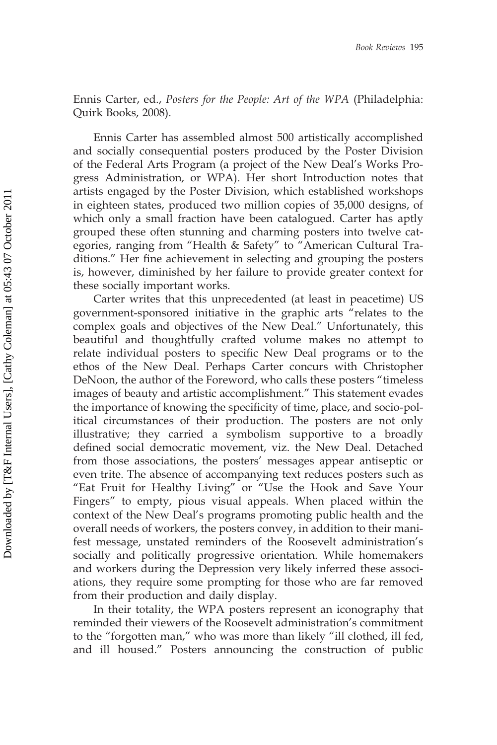Ennis Carter, ed., Posters for the People: Art of the WPA (Philadelphia: Quirk Books, 2008).

Ennis Carter has assembled almost 500 artistically accomplished and socially consequential posters produced by the Poster Division of the Federal Arts Program (a project of the New Deal's Works Progress Administration, or WPA). Her short Introduction notes that artists engaged by the Poster Division, which established workshops in eighteen states, produced two million copies of 35,000 designs, of which only a small fraction have been catalogued. Carter has aptly grouped these often stunning and charming posters into twelve categories, ranging from "Health & Safety" to "American Cultural Traditions." Her fine achievement in selecting and grouping the posters is, however, diminished by her failure to provide greater context for these socially important works.

Carter writes that this unprecedented (at least in peacetime) US government-sponsored initiative in the graphic arts "relates to the complex goals and objectives of the New Deal." Unfortunately, this beautiful and thoughtfully crafted volume makes no attempt to relate individual posters to specific New Deal programs or to the ethos of the New Deal. Perhaps Carter concurs with Christopher DeNoon, the author of the Foreword, who calls these posters "timeless images of beauty and artistic accomplishment." This statement evades the importance of knowing the specificity of time, place, and socio-political circumstances of their production. The posters are not only illustrative; they carried a symbolism supportive to a broadly defined social democratic movement, viz. the New Deal. Detached from those associations, the posters' messages appear antiseptic or even trite. The absence of accompanying text reduces posters such as "Eat Fruit for Healthy Living" or "Use the Hook and Save Your Fingers" to empty, pious visual appeals. When placed within the context of the New Deal's programs promoting public health and the overall needs of workers, the posters convey, in addition to their manifest message, unstated reminders of the Roosevelt administration's socially and politically progressive orientation. While homemakers and workers during the Depression very likely inferred these associations, they require some prompting for those who are far removed from their production and daily display.

In their totality, the WPA posters represent an iconography that reminded their viewers of the Roosevelt administration's commitment to the "forgotten man," who was more than likely "ill clothed, ill fed, and ill housed." Posters announcing the construction of public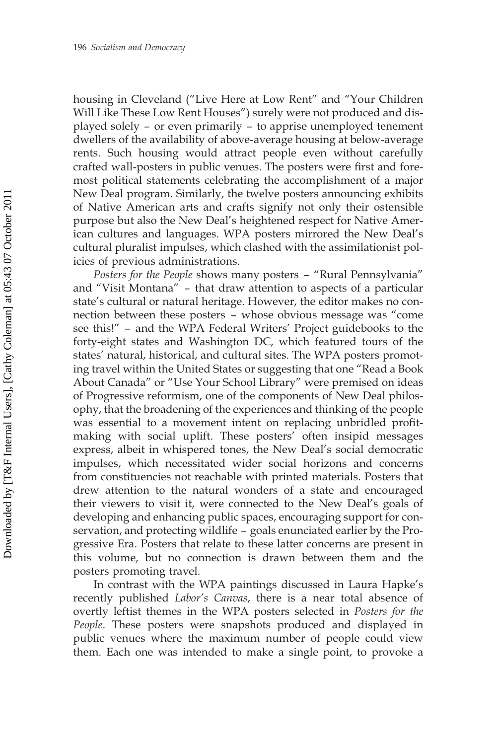housing in Cleveland ("Live Here at Low Rent" and "Your Children Will Like These Low Rent Houses") surely were not produced and displayed solely – or even primarily – to apprise unemployed tenement dwellers of the availability of above-average housing at below-average rents. Such housing would attract people even without carefully crafted wall-posters in public venues. The posters were first and foremost political statements celebrating the accomplishment of a major New Deal program. Similarly, the twelve posters announcing exhibits of Native American arts and crafts signify not only their ostensible purpose but also the New Deal's heightened respect for Native American cultures and languages. WPA posters mirrored the New Deal's cultural pluralist impulses, which clashed with the assimilationist policies of previous administrations.

Posters for the People shows many posters – "Rural Pennsylvania" and "Visit Montana" – that draw attention to aspects of a particular state's cultural or natural heritage. However, the editor makes no connection between these posters – whose obvious message was "come see this!" – and the WPA Federal Writers' Project guidebooks to the forty-eight states and Washington DC, which featured tours of the states' natural, historical, and cultural sites. The WPA posters promoting travel within the United States or suggesting that one "Read a Book About Canada" or "Use Your School Library" were premised on ideas of Progressive reformism, one of the components of New Deal philosophy, that the broadening of the experiences and thinking of the people was essential to a movement intent on replacing unbridled profitmaking with social uplift. These posters' often insipid messages express, albeit in whispered tones, the New Deal's social democratic impulses, which necessitated wider social horizons and concerns from constituencies not reachable with printed materials. Posters that drew attention to the natural wonders of a state and encouraged their viewers to visit it, were connected to the New Deal's goals of developing and enhancing public spaces, encouraging support for conservation, and protecting wildlife – goals enunciated earlier by the Progressive Era. Posters that relate to these latter concerns are present in this volume, but no connection is drawn between them and the posters promoting travel.

In contrast with the WPA paintings discussed in Laura Hapke's recently published Labor's Canvas, there is a near total absence of overtly leftist themes in the WPA posters selected in Posters for the People. These posters were snapshots produced and displayed in public venues where the maximum number of people could view them. Each one was intended to make a single point, to provoke a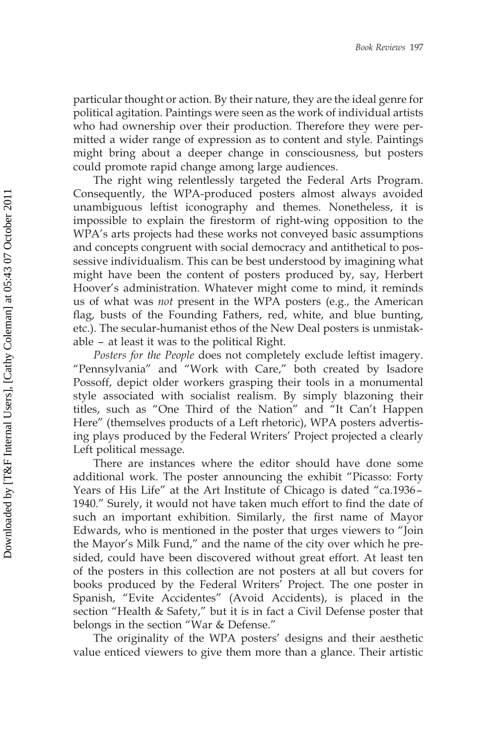particular thought or action. By their nature, they are the ideal genre for political agitation. Paintings were seen as the work of individual artists who had ownership over their production. Therefore they were permitted a wider range of expression as to content and style. Paintings might bring about a deeper change in consciousness, but posters could promote rapid change among large audiences.

The right wing relentlessly targeted the Federal Arts Program. Consequently, the WPA-produced posters almost always avoided unambiguous leftist iconography and themes. Nonetheless, it is impossible to explain the firestorm of right-wing opposition to the WPA's arts projects had these works not conveyed basic assumptions and concepts congruent with social democracy and antithetical to possessive individualism. This can be best understood by imagining what might have been the content of posters produced by, say, Herbert Hoover's administration. Whatever might come to mind, it reminds us of what was not present in the WPA posters (e.g., the American flag, busts of the Founding Fathers, red, white, and blue bunting, etc.). The secular-humanist ethos of the New Deal posters is unmistakable – at least it was to the political Right.

Posters for the People does not completely exclude leftist imagery. "Pennsylvania" and "Work with Care," both created by Isadore Possoff, depict older workers grasping their tools in a monumental style associated with socialist realism. By simply blazoning their titles, such as "One Third of the Nation" and "It Can't Happen Here" (themselves products of a Left rhetoric), WPA posters advertising plays produced by the Federal Writers' Project projected a clearly Left political message.

There are instances where the editor should have done some additional work. The poster announcing the exhibit "Picasso: Forty Years of His Life" at the Art Institute of Chicago is dated "ca.1936– 1940." Surely, it would not have taken much effort to find the date of such an important exhibition. Similarly, the first name of Mayor Edwards, who is mentioned in the poster that urges viewers to "Join the Mayor's Milk Fund," and the name of the city over which he presided, could have been discovered without great effort. At least ten of the posters in this collection are not posters at all but covers for books produced by the Federal Writers' Project. The one poster in Spanish, "Evite Accidentes" (Avoid Accidents), is placed in the section "Health & Safety," but it is in fact a Civil Defense poster that belongs in the section "War & Defense."

The originality of the WPA posters' designs and their aesthetic value enticed viewers to give them more than a glance. Their artistic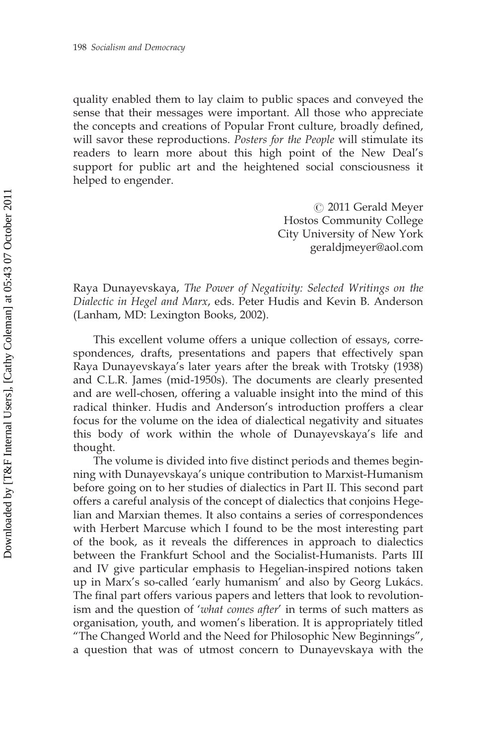quality enabled them to lay claim to public spaces and conveyed the sense that their messages were important. All those who appreciate the concepts and creations of Popular Front culture, broadly defined, will savor these reproductions. Posters for the People will stimulate its readers to learn more about this high point of the New Deal's support for public art and the heightened social consciousness it helped to engender.

> $\odot$  2011 Gerald Meyer Hostos Community College City University of New York geraldjmeyer@aol.com

Raya Dunayevskaya, The Power of Negativity: Selected Writings on the Dialectic in Hegel and Marx, eds. Peter Hudis and Kevin B. Anderson (Lanham, MD: Lexington Books, 2002).

This excellent volume offers a unique collection of essays, correspondences, drafts, presentations and papers that effectively span Raya Dunayevskaya's later years after the break with Trotsky (1938) and C.L.R. James (mid-1950s). The documents are clearly presented and are well-chosen, offering a valuable insight into the mind of this radical thinker. Hudis and Anderson's introduction proffers a clear focus for the volume on the idea of dialectical negativity and situates this body of work within the whole of Dunayevskaya's life and thought.

The volume is divided into five distinct periods and themes beginning with Dunayevskaya's unique contribution to Marxist-Humanism before going on to her studies of dialectics in Part II. This second part offers a careful analysis of the concept of dialectics that conjoins Hegelian and Marxian themes. It also contains a series of correspondences with Herbert Marcuse which I found to be the most interesting part of the book, as it reveals the differences in approach to dialectics between the Frankfurt School and the Socialist-Humanists. Parts III and IV give particular emphasis to Hegelian-inspired notions taken up in Marx's so-called 'early humanism' and also by Georg Lukács. The final part offers various papers and letters that look to revolutionism and the question of 'what comes after' in terms of such matters as organisation, youth, and women's liberation. It is appropriately titled "The Changed World and the Need for Philosophic New Beginnings", a question that was of utmost concern to Dunayevskaya with the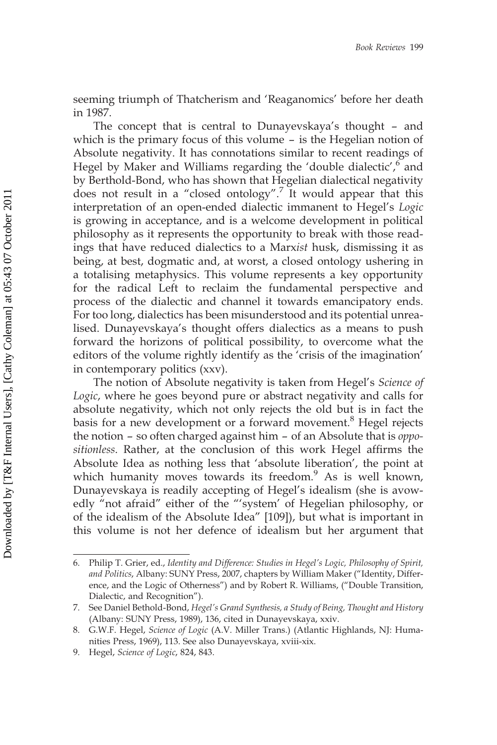seeming triumph of Thatcherism and 'Reaganomics' before her death in 1987.

The concept that is central to Dunayevskaya's thought – and which is the primary focus of this volume – is the Hegelian notion of Absolute negativity. It has connotations similar to recent readings of Hegel by Maker and Williams regarding the 'double dialectic', $6$  and by Berthold-Bond, who has shown that Hegelian dialectical negativity does not result in a "closed ontology".<sup>7</sup> It would appear that this interpretation of an open-ended dialectic immanent to Hegel's Logic is growing in acceptance, and is a welcome development in political philosophy as it represents the opportunity to break with those readings that have reduced dialectics to a Marxist husk, dismissing it as being, at best, dogmatic and, at worst, a closed ontology ushering in a totalising metaphysics. This volume represents a key opportunity for the radical Left to reclaim the fundamental perspective and process of the dialectic and channel it towards emancipatory ends. For too long, dialectics has been misunderstood and its potential unrealised. Dunayevskaya's thought offers dialectics as a means to push forward the horizons of political possibility, to overcome what the editors of the volume rightly identify as the 'crisis of the imagination' in contemporary politics (xxv).

The notion of Absolute negativity is taken from Hegel's Science of Logic, where he goes beyond pure or abstract negativity and calls for absolute negativity, which not only rejects the old but is in fact the basis for a new development or a forward movement.<sup>8</sup> Hegel rejects the notion – so often charged against him – of an Absolute that is *oppo*sitionless. Rather, at the conclusion of this work Hegel affirms the Absolute Idea as nothing less that 'absolute liberation', the point at which humanity moves towards its freedom.<sup>9</sup> As is well known, Dunayevskaya is readily accepting of Hegel's idealism (she is avowedly "not afraid" either of the "'system' of Hegelian philosophy, or of the idealism of the Absolute Idea" [109]), but what is important in this volume is not her defence of idealism but her argument that

<sup>6.</sup> Philip T. Grier, ed., Identity and Difference: Studies in Hegel's Logic, Philosophy of Spirit, and Politics, Albany: SUNY Press, 2007, chapters by William Maker ("Identity, Difference, and the Logic of Otherness") and by Robert R. Williams, ("Double Transition, Dialectic, and Recognition").

<sup>7.</sup> See Daniel Bethold-Bond, Hegel's Grand Synthesis, a Study of Being, Thought and History (Albany: SUNY Press, 1989), 136, cited in Dunayevskaya, xxiv.

<sup>8.</sup> G.W.F. Hegel, Science of Logic (A.V. Miller Trans.) (Atlantic Highlands, NJ: Humanities Press, 1969), 113. See also Dunayevskaya, xviii-xix.

<sup>9.</sup> Hegel, Science of Logic, 824, 843.